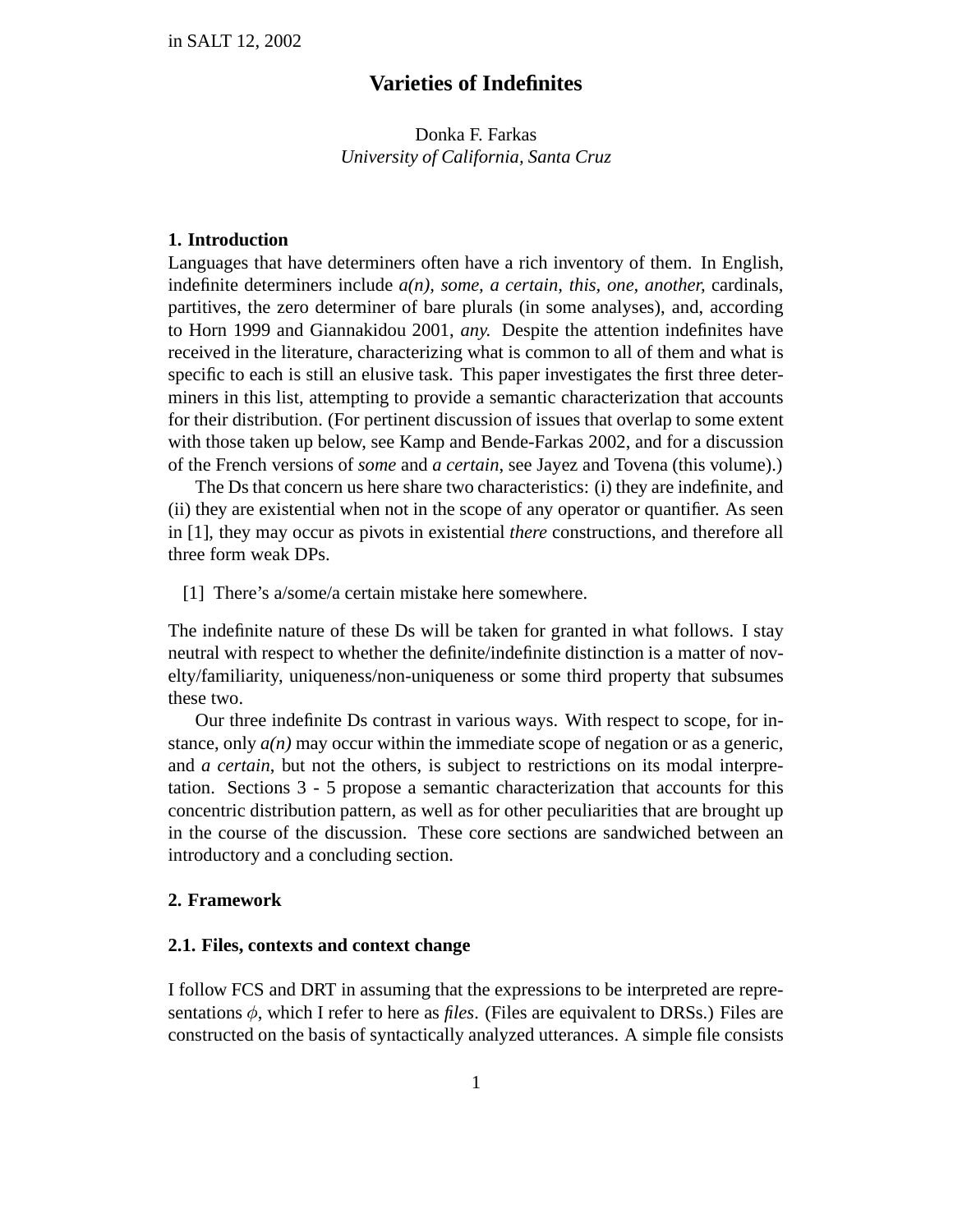# **Varieties of Indefinites**

Donka F. Farkas *University of California, Santa Cruz*

## **1. Introduction**

Languages that have determiners often have a rich inventory of them. In English, indefinite determiners include *a(n), some, a certain, this, one, another,* cardinals, partitives, the zero determiner of bare plurals (in some analyses), and, according to Horn 1999 and Giannakidou 2001, *any.* Despite the attention indefinites have received in the literature, characterizing what is common to all of them and what is specific to each is still an elusive task. This paper investigates the first three determiners in this list, attempting to provide a semantic characterization that accounts for their distribution. (For pertinent discussion of issues that overlap to some extent with those taken up below, see Kamp and Bende-Farkas 2002, and for a discussion of the French versions of *some* and *a certain*, see Jayez and Tovena (this volume).)

The Ds that concern us here share two characteristics: (i) they are indefinite, and (ii) they are existential when not in the scope of any operator or quantifier. As seen in [1], they may occur as pivots in existential *there* constructions, and therefore all three form weak DPs.

[1] There's a/some/a certain mistake here somewhere.

The indefinite nature of these Ds will be taken for granted in what follows. I stay neutral with respect to whether the definite/indefinite distinction is a matter of novelty/familiarity, uniqueness/non-uniqueness or some third property that subsumes these two.

Our three indefinite Ds contrast in various ways. With respect to scope, for instance, only  $a(n)$  may occur within the immediate scope of negation or as a generic, and *a certain*, but not the others, is subject to restrictions on its modal interpretation. Sections 3 - 5 propose a semantic characterization that accounts for this concentric distribution pattern, as well as for other peculiarities that are brought up in the course of the discussion. These core sections are sandwiched between an introductory and a concluding section.

### **2. Framework**

### **2.1. Files, contexts and context change**

I follow FCS and DRT in assuming that the expressions to be interpreted are representations  $\phi$ , which I refer to here as *files*. (Files are equivalent to DRSs.) Files are constructed on the basis of syntactically analyzed utterances. A simple file consists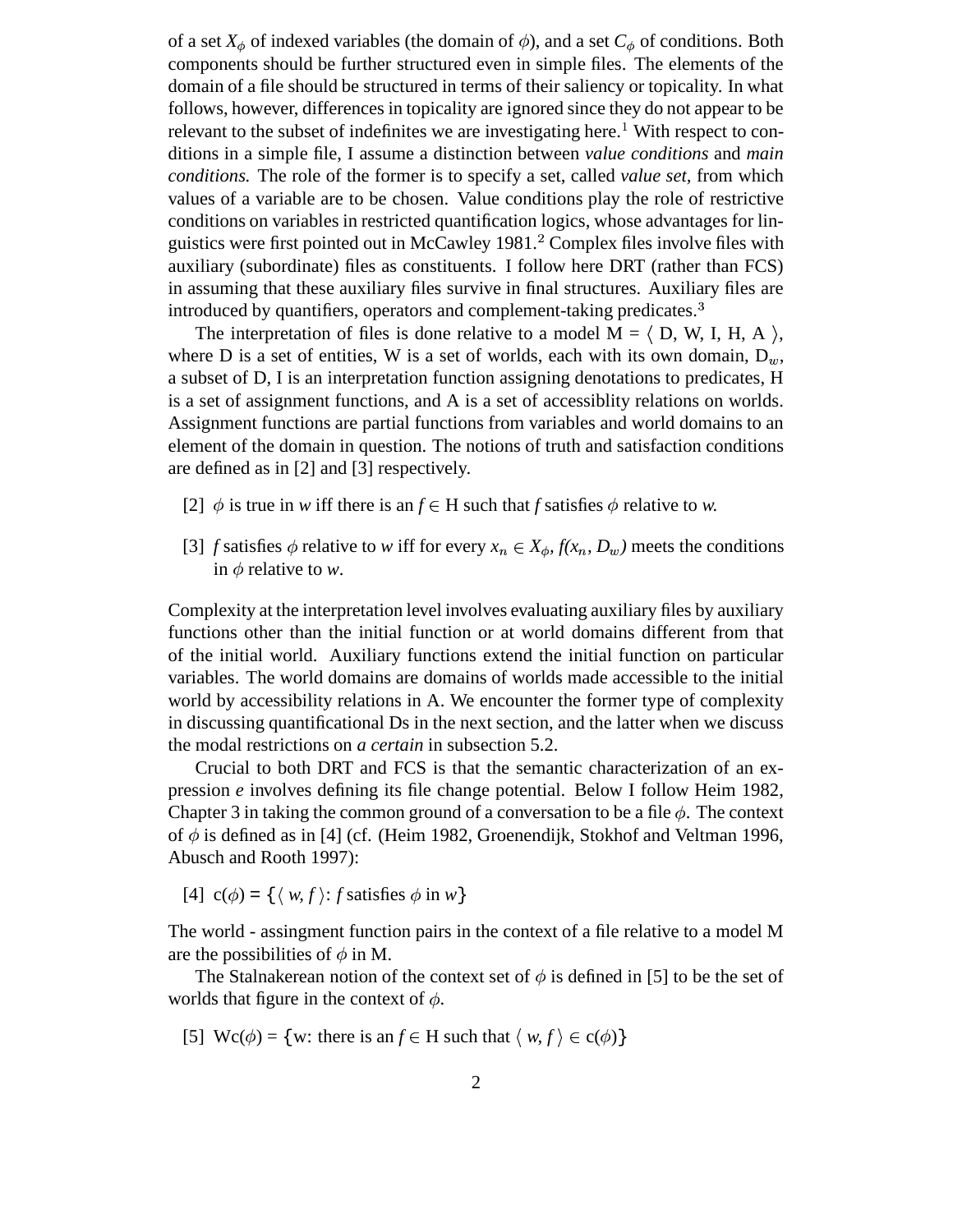of a set  $X_{\phi}$  of indexed variables (the domain of  $\phi$ ), and a set  $C_{\phi}$  of conditions. Both components should be further structured even in simple files. The elements of the domain of a file should be structured in terms of their saliency or topicality. In what follows, however, differences in topicality are ignored since they do not appear to be relevant to the subset of indefinites we are investigating here.<sup>1</sup> With respect to conditions in a simple file, I assume a distinction between *value conditions* and *main conditions.* The role of the former is to specify a set, called *value set,* from which values of a variable are to be chosen. Value conditions play the role of restrictive conditions on variables in restricted quantification logics, whose advantages for linguistics were first pointed out in McCawley 1981. Complex files involve files with auxiliary (subordinate) files as constituents. I follow here DRT (rather than FCS) in assuming that these auxiliary files survive in final structures. Auxiliary files are introduced by quantifiers, operators and complement-taking predicates.

The interpretation of files is done relative to a model  $M = \langle D, W, I, H, A \rangle$ , where D is a set of entities, W is a set of worlds, each with its own domain,  $D_w$ , a subset of D, I is an interpretation function assigning denotations to predicates, H is a set of assignment functions, and A is a set of accessiblity relations on worlds. Assignment functions are partial functions from variables and world domains to an element of the domain in question. The notions of truth and satisfaction conditions are defined as in [2] and [3] respectively.

- [2]  $\phi$  is true in *w* iff there is an  $f \in H$  such that *f* satisfies  $\phi$  relative to *w*.
- [3] *f* satisfies  $\phi$  relative to *w* iff for every  $x_n \in X_\phi$ ,  $f(x_n, D_w)$  meets the conditions in  $\phi$  relative to *w*.

Complexity at the interpretation level involves evaluating auxiliary files by auxiliary functions other than the initial function or at world domains different from that of the initial world. Auxiliary functions extend the initial function on particular variables. The world domains are domains of worlds made accessible to the initial world by accessibility relations in A. We encounter the former type of complexity in discussing quantificational Ds in the next section, and the latter when we discuss the modal restrictions on *a certain* in subsection 5.2.

Crucial to both DRT and FCS is that the semantic characterization of an expression *e* involves defining its file change potential. Below I follow Heim 1982, Chapter 3 in taking the common ground of a conversation to be a file  $\phi$ . The context of  $\phi$  is defined as in [4] (cf. (Heim 1982, Groenendijk, Stokhof and Veltman 1996, Abusch and Rooth 1997):

[4]  $c(\phi) = \{ \langle w, f \rangle : f \text{ satisfies } \phi \text{ in } w \}$ 

The world - assingment function pairs in the context of a file relative to a model M are the possibilities of  $\phi$  in M.

The Stalnakerean notion of the context set of  $\phi$  is defined in [5] to be the set of worlds that figure in the context of  $\phi$ .

[5]  $\text{Wc}(\phi) = \{w: \text{ there is an } f \in H \text{ such that } \langle w, f \rangle \in c(\phi) \}$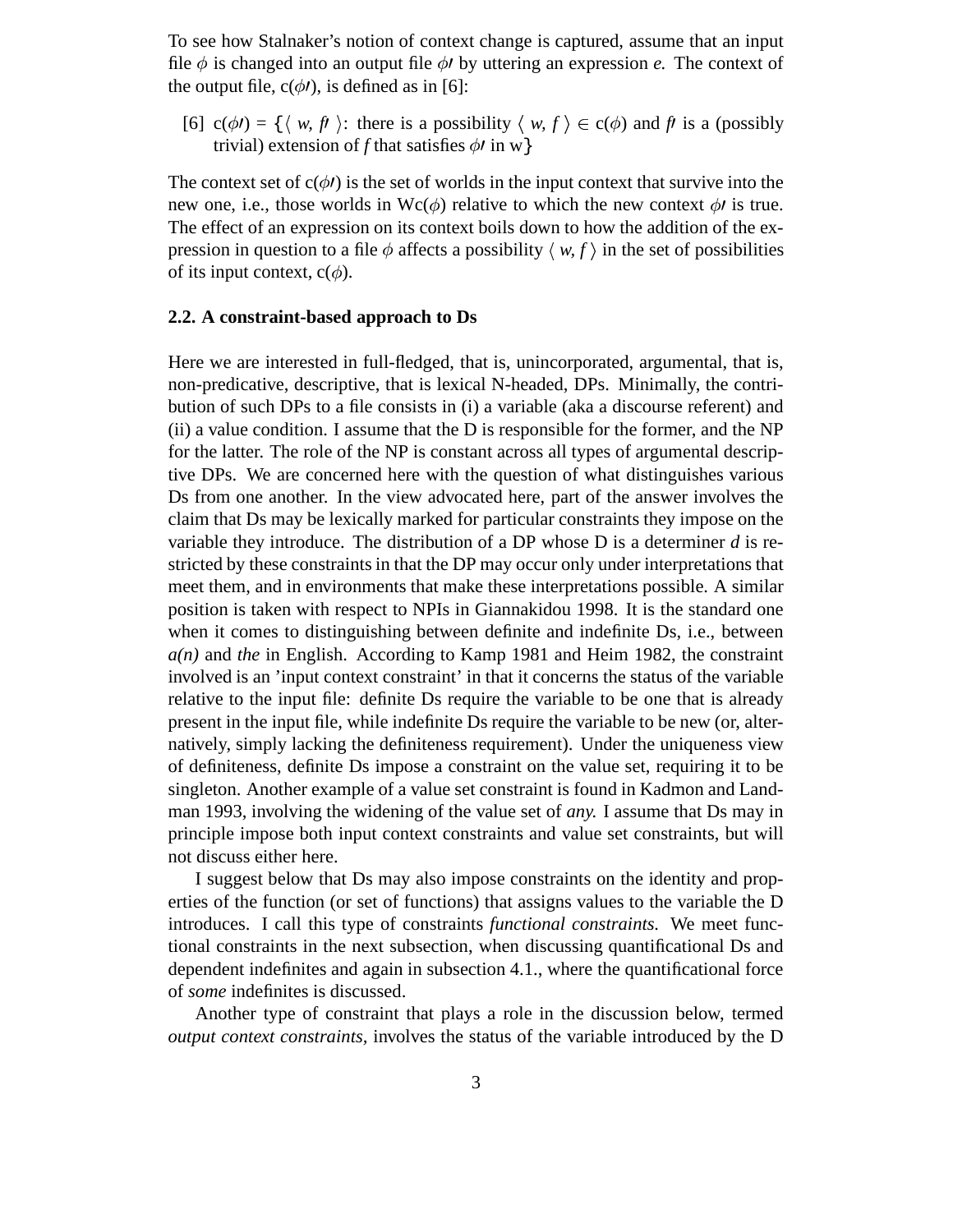To see how Stalnaker's notion of context change is captured, assume that an input file  $\phi$  is changed into an output file  $\phi$  by uttering an expression *e*. The context of the output file,  $c(\phi t)$ , is defined as in [6]:

[6]  $c(\phi) = \{ \langle w, f \rangle : \text{there is a possibility } \langle w, f \rangle \in c(\phi) \text{ and } f \text{ is a (possibly} \}$ trivial) extension of f that satisfies  $\phi$  in w }

The context set of  $c(\phi)$  is the set of worlds in the input context that survive into the new one, i.e., those worlds in  $We(\phi)$  relative to which the new context  $\phi$  is true. The effect of an expression on its context boils down to how the addition of the expression in question to a file  $\phi$  affects a possibility  $\langle w, f \rangle$  in the set of possibilities of its input context,  $c(\phi)$ .

### **2.2. A constraint-based approach to Ds**

Here we are interested in full-fledged, that is, unincorporated, argumental, that is, non-predicative, descriptive, that is lexical N-headed, DPs. Minimally, the contribution of such DPs to a file consists in (i) a variable (aka a discourse referent) and (ii) a value condition. I assume that the D is responsible for the former, and the NP for the latter. The role of the NP is constant across all types of argumental descriptive DPs. We are concerned here with the question of what distinguishes various Ds from one another. In the view advocated here, part of the answer involves the claim that Ds may be lexically marked for particular constraints they impose on the variable they introduce. The distribution of a DP whose D is a determiner *d* is restricted by these constraints in that the DP may occur only under interpretations that meet them, and in environments that make these interpretations possible. A similar position is taken with respect to NPIs in Giannakidou 1998. It is the standard one when it comes to distinguishing between definite and indefinite Ds, i.e., between *a(n)* and *the* in English. According to Kamp 1981 and Heim 1982, the constraint involved is an 'input context constraint' in that it concerns the status of the variable relative to the input file: definite Ds require the variable to be one that is already present in the input file, while indefinite Ds require the variable to be new (or, alternatively, simply lacking the definiteness requirement). Under the uniqueness view of definiteness, definite Ds impose a constraint on the value set, requiring it to be singleton. Another example of a value set constraint is found in Kadmon and Landman 1993, involving the widening of the value set of *any.* I assume that Ds may in principle impose both input context constraints and value set constraints, but will not discuss either here.

I suggest below that Ds may also impose constraints on the identity and properties of the function (or set of functions) that assigns values to the variable the D introduces. I call this type of constraints *functional constraints.* We meet functional constraints in the next subsection, when discussing quantificational Ds and dependent indefinites and again in subsection 4.1., where the quantificational force of *some* indefinites is discussed.

Another type of constraint that plays a role in the discussion below, termed *output context constraints,* involves the status of the variable introduced by the D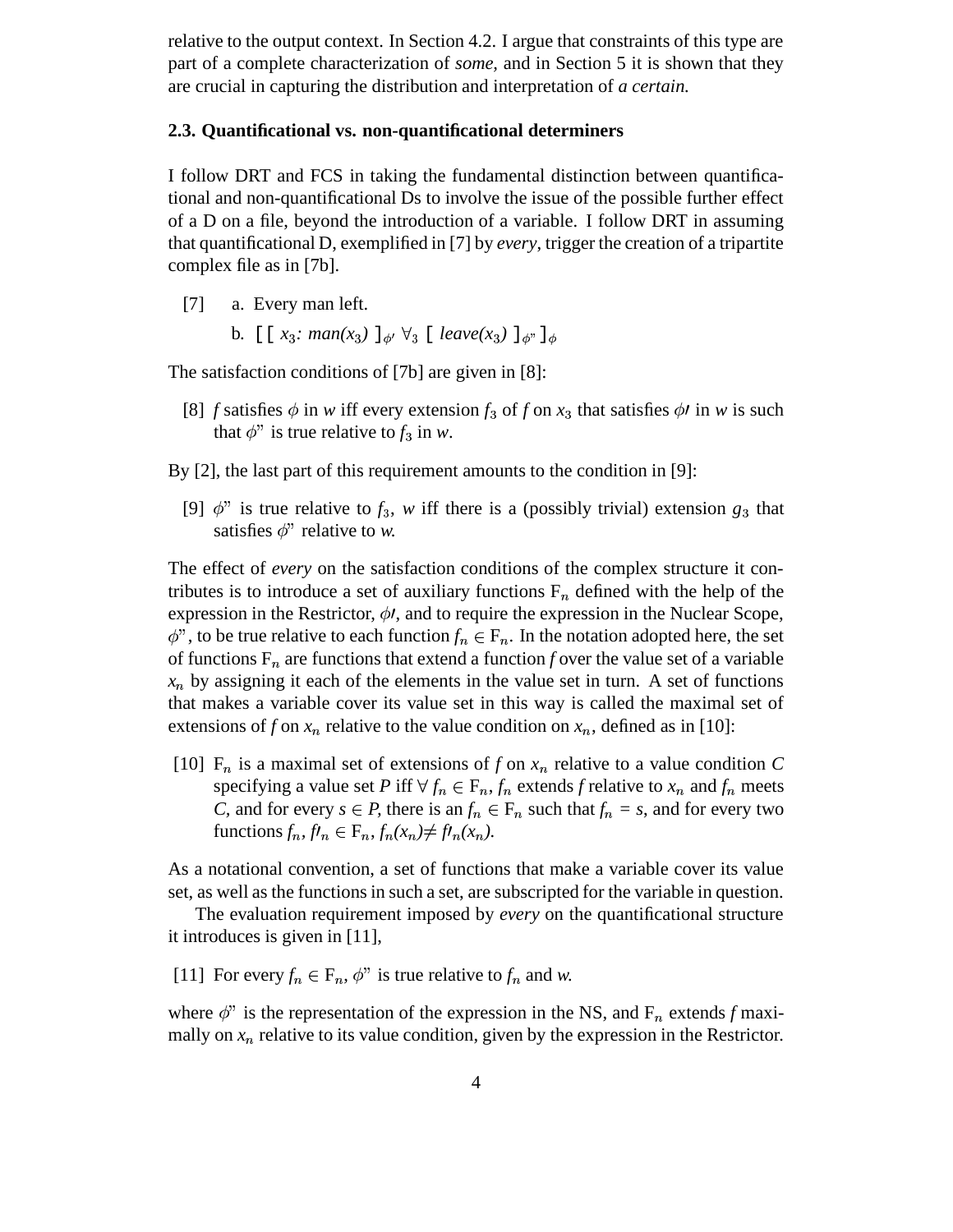relative to the output context. In Section 4.2. I argue that constraints of this type are part of a complete characterization of *some,* and in Section 5 it is shown that they are crucial in capturing the distribution and interpretation of *a certain.*

### **2.3. Quantificational vs. non-quantificational determiners**

I follow DRT and FCS in taking the fundamental distinction between quantificational and non-quantificational Ds to involve the issue of the possible further effect of a D on a file, beyond the introduction of a variable. I follow DRT in assuming that quantificational D, exemplified in [7] by *every*, trigger the creation of a tripartite complex file as in [7b].

- [7] a. Every man left.
	- b.  $\left[ \begin{array}{ccc} x_3 \\ x_4 \end{array} \right]_{\phi}$   $\forall_3$   $\left[ \begin{array}{ccc} leave(x_3) \\ & \end{array} \right]_{\phi}$   $\left]_{\phi}$

The satisfaction conditions of [7b] are given in [8]:

- [8] *f* satisfies  $\phi$  in *w* iff every extension  $f_3$  of *f* on  $x_3$  that satisfies  $\phi$ *i* in *w* is such that  $\phi$ <sup>"</sup> is true relative to  $f_3$  in w.
- By [2], the last part of this requirement amounts to the condition in [9]:
	- [9]  $\phi$ " is true relative to  $f_3$ , w iff there is a (possibly trivial) extension  $g_3$  that satisfies  $\phi$ <sup>"</sup> relative to *w*.

The effect of *every* on the satisfaction conditions of the complex structure it contributes is to introduce a set of auxiliary functions  $F_n$  defined with the help of the expression in the Restrictor,  $\phi$ , and to require the expression in the Nuclear Scope,  $\phi$ <sup>n</sup>, to be true relative to each function  $f_n \in F_n$ . In the notation adopted here, the set of functions  $F_n$  are functions that extend a function *f* over the value set of a variable  $x_n$  by assigning it each of the elements in the value set in turn. A set of functions that makes a variable cover its value set in this way is called the maximal set of extensions of *f* on  $x_n$  relative to the value condition on  $x_n$ , defined as in [10]:

[10]  $F_n$  is a maximal set of extensions of *f* on  $x_n$  relative to a value condition *C* specifying a value set *P* iff  $\forall f_n \in F_n$ ,  $f_n$  extends *f* relative to  $x_n$  and  $f_n$  meets *C*, and for every  $s \in P$ , there is an  $f_n \in F_n$  such that  $f_n = s$ , and for every two  $\text{functions } f_n, \, \hat{f}_n \in \mathcal{F}_n, f_n(x_n) \neq \hat{f}_n(x_n).$ 

As a notational convention, a set of functions that make a variable cover its value set, as well as the functions in such a set, are subscripted for the variable in question.

The evaluation requirement imposed by *every* on the quantificational structure it introduces is given in [11],

[11] For every  $f_n \in F_n$ ,  $\phi$ " is true relative to  $f_n$  and w.

where  $\phi$ <sup>"</sup> is the representation of the expression in the NS, and  $F_n$  extends f maximally on  $x_n$  relative to its value condition, given by the expression in the Restrictor.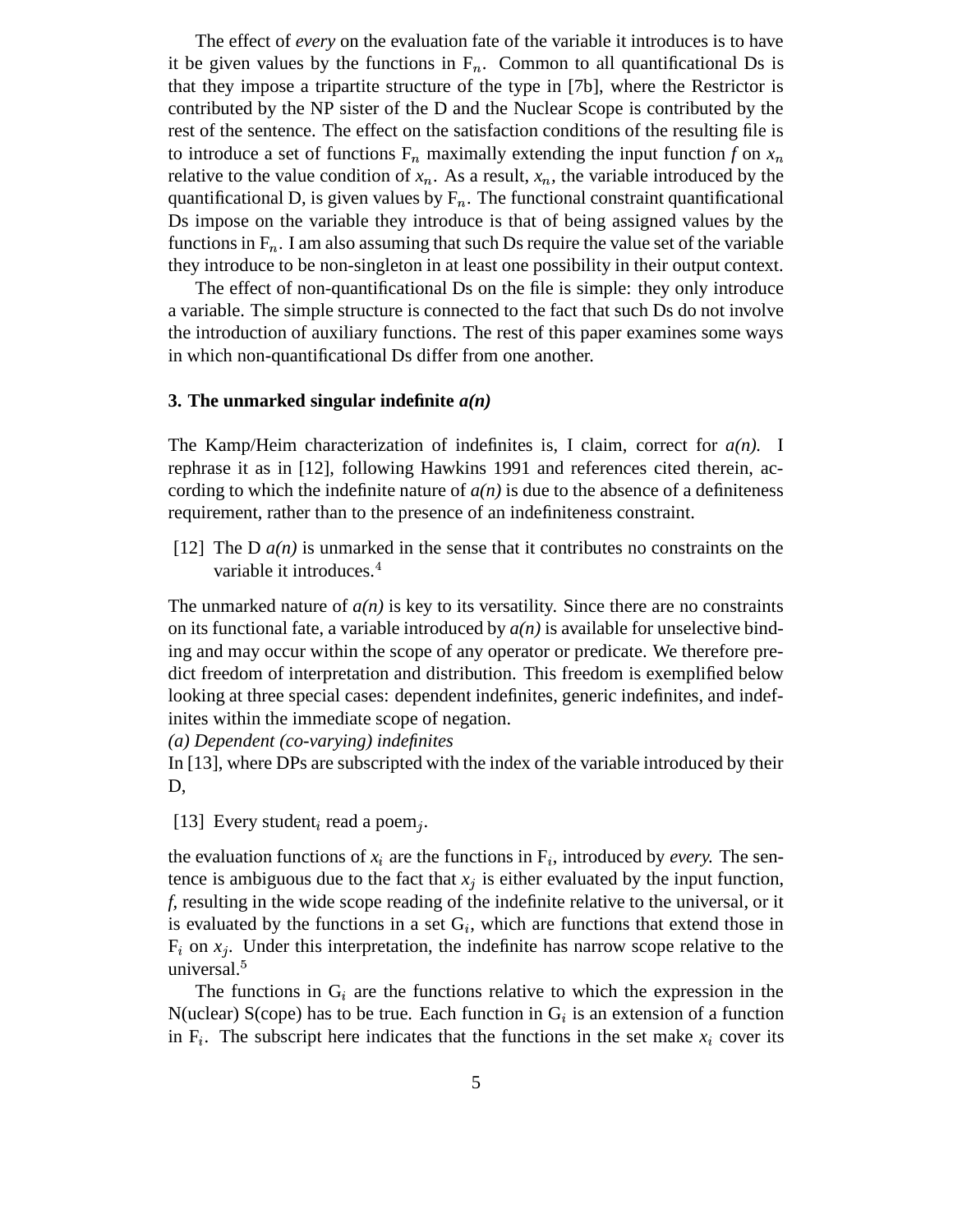The effect of *every* on the evaluation fate of the variable it introduces is to have it be given values by the functions in  $F_n$ . Common to all quantificational Ds is that they impose a tripartite structure of the type in [7b], where the Restrictor is contributed by the NP sister of the D and the Nuclear Scope is contributed by the rest of the sentence. The effect on the satisfaction conditions of the resulting file is to introduce a set of functions  $F_n$  maximally extending the input function *f* on  $x_n$ relative to the value condition of  $x_n$ . As a result,  $x_n$ , the variable introduced by the quantificational D, is given values by  $F_n$ . The functional constraint quantificational Ds impose on the variable they introduce is that of being assigned values by the functions in  $F_n$ . I am also assuming that such Ds require the value set of the variable they introduce to be non-singleton in at least one possibility in their output context.

The effect of non-quantificational Ds on the file is simple: they only introduce a variable. The simple structure is connected to the fact that such Ds do not involve the introduction of auxiliary functions. The rest of this paper examines some ways in which non-quantificational Ds differ from one another.

### **3. The unmarked singular indefinite** *a(n)*

The Kamp/Heim characterization of indefinites is, I claim, correct for *a(n).* I rephrase it as in [12], following Hawkins 1991 and references cited therein, according to which the indefinite nature of  $a(n)$  is due to the absence of a definiteness requirement, rather than to the presence of an indefiniteness constraint.

[12] The D *a(n)* is unmarked in the sense that it contributes no constraints on the variable it introduces.

The unmarked nature of  $a(n)$  is key to its versatility. Since there are no constraints on its functional fate, a variable introduced by *a(n)* is available for unselective binding and may occur within the scope of any operator or predicate. We therefore predict freedom of interpretation and distribution. This freedom is exemplified below looking at three special cases: dependent indefinites, generic indefinites, and indefinites within the immediate scope of negation.

*(a) Dependent (co-varying) indefinites*

In [13], where DPs are subscripted with the index of the variable introduced by their D,

[13] Every student, read a poem,.

the evaluation functions of  $x_i$  are the functions in  $F_i$ , introduced by *every*. The sentence is ambiguous due to the fact that  $x_j$  is either evaluated by the input function, *f,* resulting in the wide scope reading of the indefinite relative to the universal, or it is evaluated by the functions in a set  $G_i$ , which are functions that extend those in  $F_i$  on  $x_i$ . Under this interpretation, the indefinite has narrow scope relative to the universal.<sup>5</sup>

The functions in  $G_i$  are the functions relative to which the expression in the N(uclear) S(cope) has to be true. Each function in  $G_i$  is an extension of a function in  $F_i$ . The subscript here indicates that the functions in the set make  $x_i$  cover its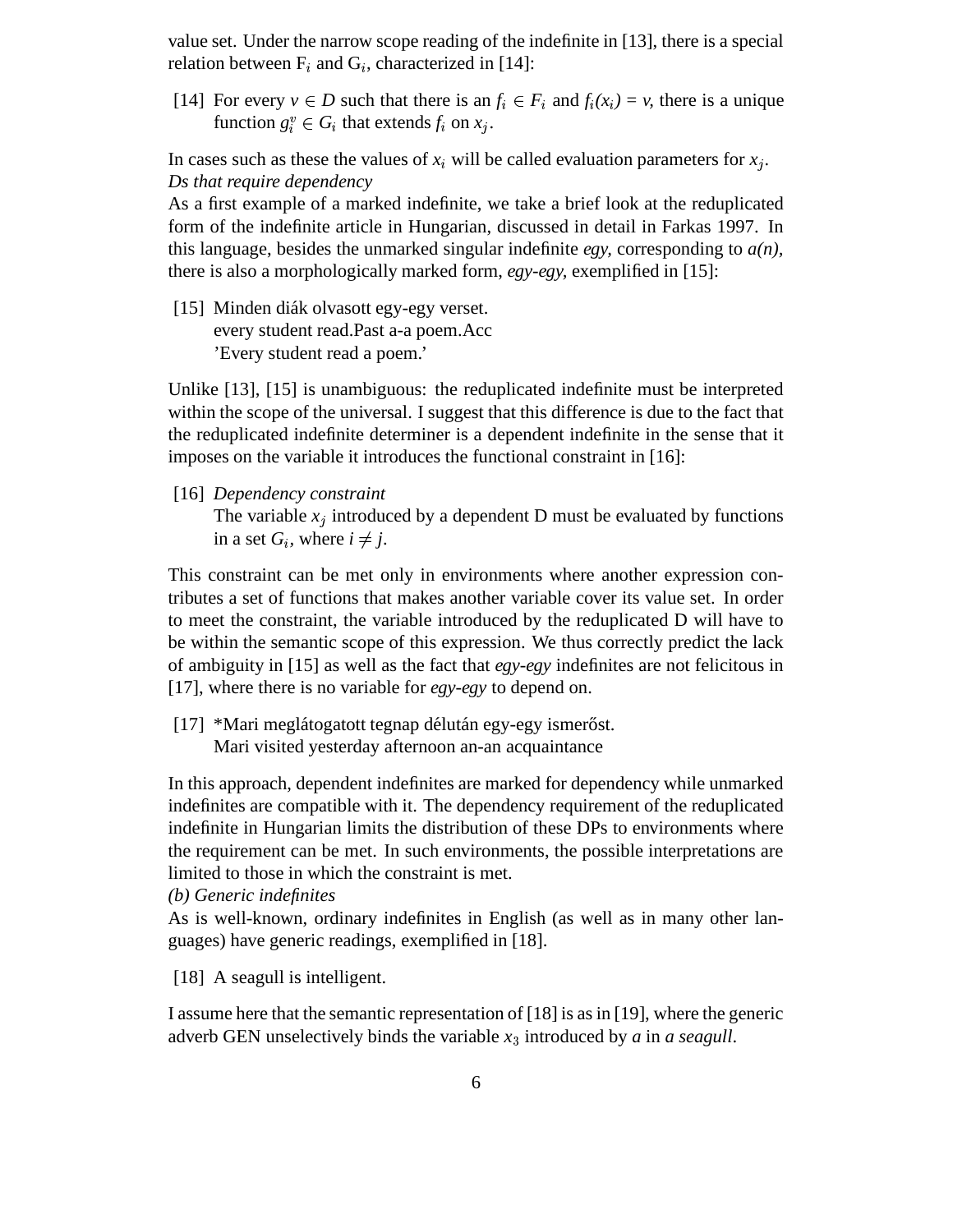value set. Under the narrow scope reading of the indefinite in [13], there is a special relation between  $F_i$  and  $G_i$ , characterized in [14]:

[14] For every  $v \in D$  such that there is an  $f_i \in F_i$  and  $f_i(x_i) = v$ , there is a unique function  $g_i^v \in G_i$  that extends  $f_i$  on  $x_j$ .

In cases such as these the values of  $x_i$  will be called evaluation parameters for  $x_i$ . *Ds that require dependency*

As a first example of a marked indefinite, we take a brief look at the reduplicated form of the indefinite article in Hungarian, discussed in detail in Farkas 1997. In this language, besides the unmarked singular indefinite *egy*, corresponding to  $a(n)$ , there is also a morphologically marked form, *egy-egy,* exemplified in [15]:

[15] Minden diák olvasott egy-egy verset. every student read.Past a-a poem.Acc 'Every student read a poem.'

Unlike [13], [15] is unambiguous: the reduplicated indefinite must be interpreted within the scope of the universal. I suggest that this difference is due to the fact that the reduplicated indefinite determiner is a dependent indefinite in the sense that it imposes on the variable it introduces the functional constraint in [16]:

[16] *Dependency constraint*

The variable  $x_j$  introduced by a dependent D must be evaluated by functions in a set  $G_i$ , where  $i \neq j$ .

This constraint can be met only in environments where another expression contributes a set of functions that makes another variable cover its value set. In order to meet the constraint, the variable introduced by the reduplicated D will have to be within the semantic scope of this expression. We thus correctly predict the lack of ambiguity in [15] as well as the fact that *egy-egy* indefinites are not felicitous in [17], where there is no variable for *egy-egy* to depend on.

[17] \*Mari meglátogatott tegnap délután egy-egy ismerőst. Mari visited yesterday afternoon an-an acquaintance

In this approach, dependent indefinites are marked for dependency while unmarked indefinites are compatible with it. The dependency requirement of the reduplicated indefinite in Hungarian limits the distribution of these DPs to environments where the requirement can be met. In such environments, the possible interpretations are limited to those in which the constraint is met.

*(b) Generic indefinites*

As is well-known, ordinary indefinites in English (as well as in many other languages) have generic readings, exemplified in [18].

[18] A seagull is intelligent.

I assume here that the semantic representation of [18] is asin [19], where the generic adverb GEN unselectively binds the variable  $x_3$  introduced by *a* in *a seagull*.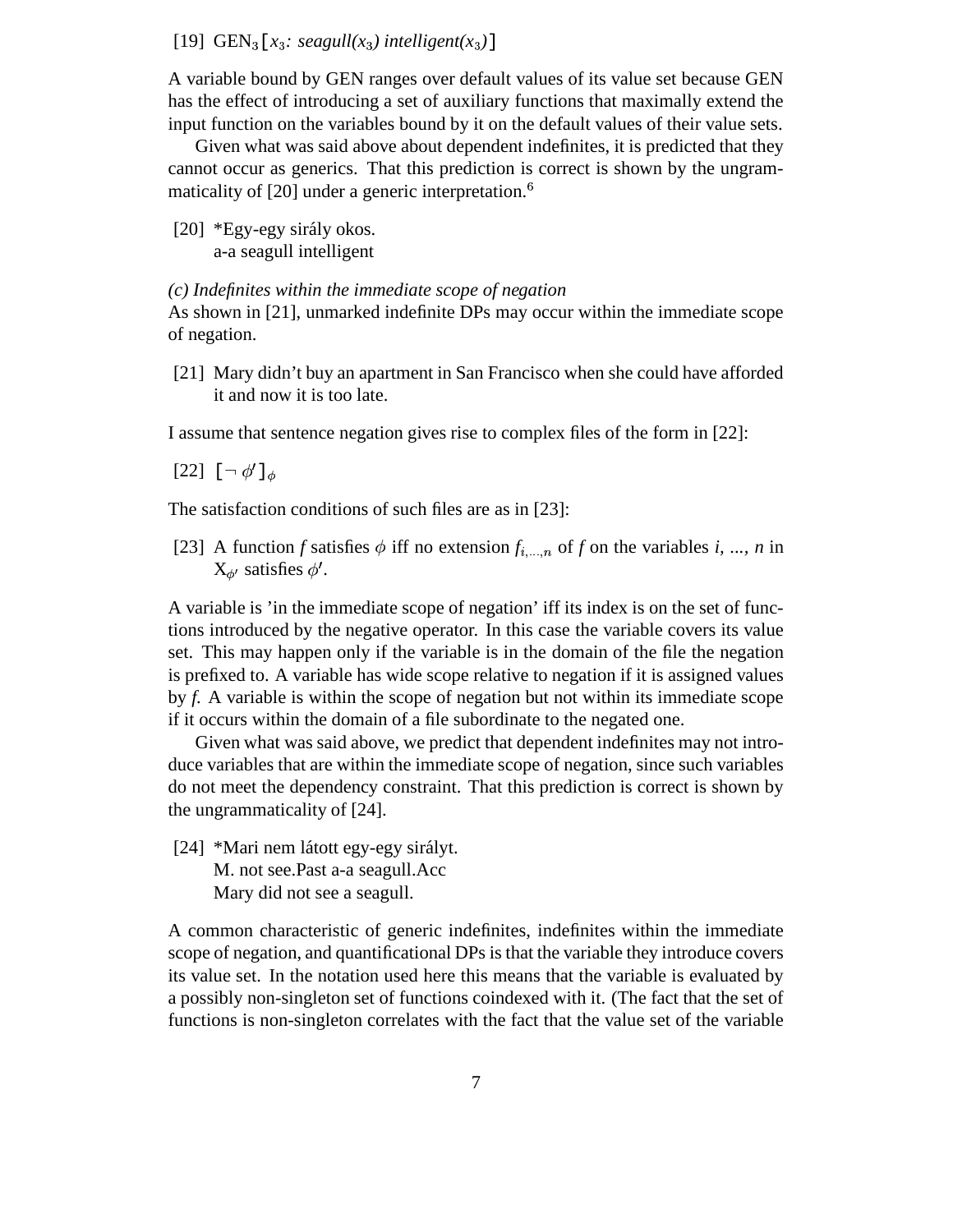### [19] GEN<sub>3</sub> [ $x_3$ *: seagull*( $x_3$ ) *intelligent*( $x_3$ )]

A variable bound by GEN ranges over default values of its value set because GEN has the effect of introducing a set of auxiliary functions that maximally extend the input function on the variables bound by it on the default values of their value sets.

Given what was said above about dependent indefinites, it is predicted that they cannot occur as generics. That this prediction is correct is shown by the ungrammaticality of  $[20]$  under a generic interpretation.<sup>6</sup>

[20] \*Egy-egy sirály okos. a-a seagull intelligent

## *(c) Indefinites within the immediate scope of negation*

As shown in [21], unmarked indefinite DPs may occur within the immediate scope of negation.

[21] Mary didn't buy an apartment in San Francisco when she could have afforded it and now it is too late.

I assume that sentence negation gives rise to complex files of the form in [22]:

[22]  $[\neg \phi']_{\phi}$ 

The satisfaction conditions of such files are as in [23]:

[23] A function *f* satisfies  $\phi$  iff no extension  $f_{i,\dots,n}$  of *f* on the variables *i*, *..., n* in  $X_{\phi}$  satisfies  $\phi'$ .

A variable is 'in the immediate scope of negation' iff its index is on the set of functions introduced by the negative operator. In this case the variable covers its value set. This may happen only if the variable is in the domain of the file the negation is prefixed to. A variable has wide scope relative to negation if it is assigned values by *f.* A variable is within the scope of negation but not within its immediate scope if it occurs within the domain of a file subordinate to the negated one.

Given what was said above, we predict that dependent indefinites may not introduce variables that are within the immediate scope of negation, since such variables do not meet the dependency constraint. That this prediction is correct is shown by the ungrammaticality of [24].

 $[24]$  \*Mari nem látott egy-egy sirályt. M. not see.Past a-a seagull.Acc Mary did not see a seagull.

A common characteristic of generic indefinites, indefinites within the immediate scope of negation, and quantificational DPs isthat the variable they introduce covers its value set. In the notation used here this means that the variable is evaluated by a possibly non-singleton set of functions coindexed with it. (The fact that the set of functions is non-singleton correlates with the fact that the value set of the variable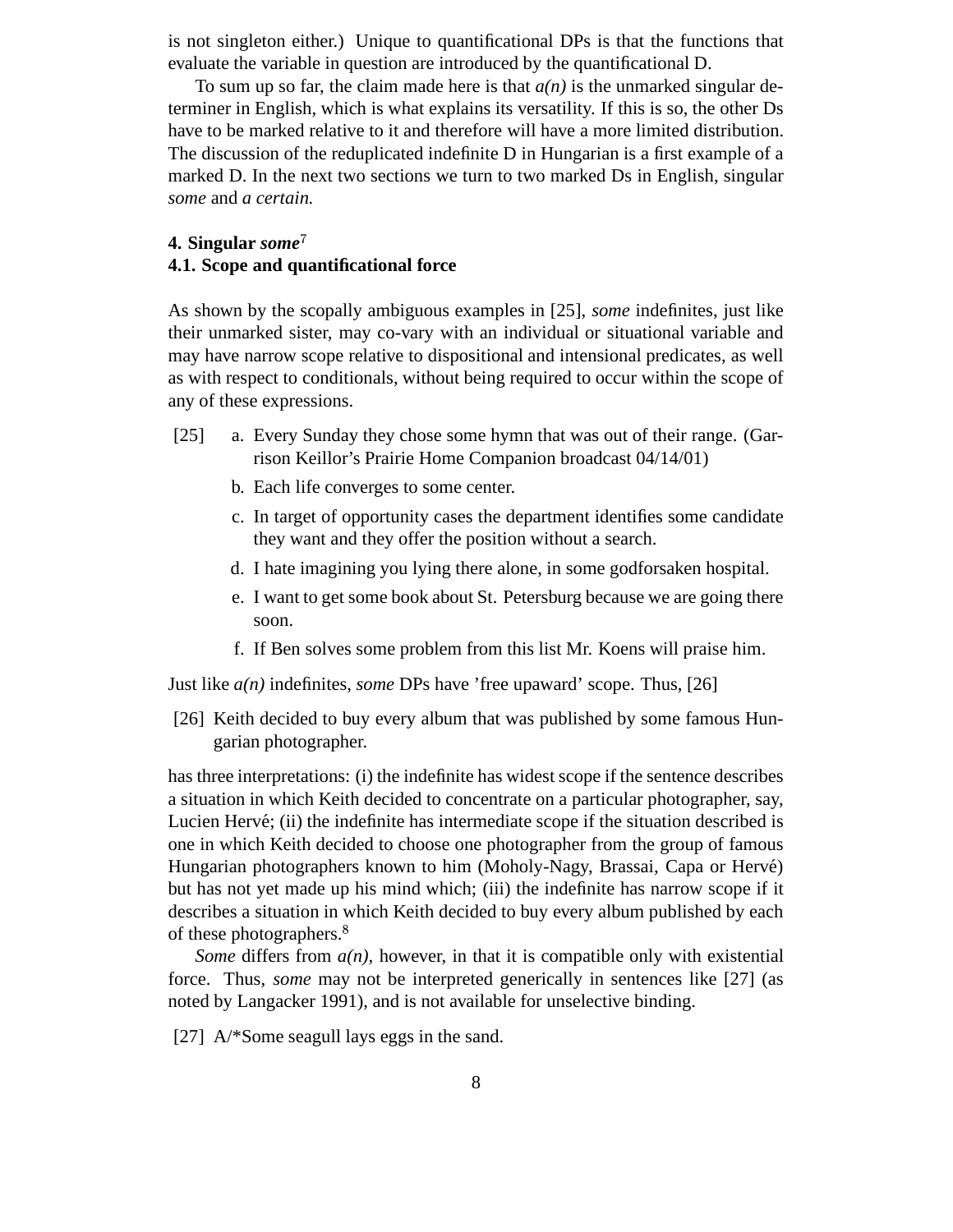is not singleton either.) Unique to quantificational DPs is that the functions that evaluate the variable in question are introduced by the quantificational D.

To sum up so far, the claim made here is that  $a(n)$  is the unmarked singular determiner in English, which is what explains its versatility. If this is so, the other Ds have to be marked relative to it and therefore will have a more limited distribution. The discussion of the reduplicated indefinite D in Hungarian is a first example of a marked D. In the next two sections we turn to two marked Ds in English, singular *some* and *a certain.*

# **4. Singular** *some*) **4.1. Scope and quantificational force**

As shown by the scopally ambiguous examples in [25], *some* indefinites, just like their unmarked sister, may co-vary with an individual or situational variable and may have narrow scope relative to dispositional and intensional predicates, as well as with respect to conditionals, without being required to occur within the scope of any of these expressions.

- [25] a. Every Sunday they chose some hymn that was out of their range. (Garrison Keillor's Prairie Home Companion broadcast 04/14/01)
	- b. Each life converges to some center.
	- c. In target of opportunity cases the department identifies some candidate they want and they offer the position without a search.
	- d. I hate imagining you lying there alone, in some godforsaken hospital.
	- e. I want to get some book about St. Petersburg because we are going there soon.
	- f. If Ben solves some problem from this list Mr. Koens will praise him.

Just like *a(n)* indefinites, *some* DPs have 'free upaward' scope. Thus, [26]

[26] Keith decided to buy every album that was published by some famous Hungarian photographer.

has three interpretations: (i) the indefinite has widest scope if the sentence describes a situation in which Keith decided to concentrate on a particular photographer, say, Lucien Hervé; (ii) the indefinite has intermediate scope if the situation described is one in which Keith decided to choose one photographer from the group of famous Hungarian photographers known to him (Moholy-Nagy, Brassai, Capa or Herve)´ but has not yet made up his mind which; (iii) the indefinite has narrow scope if it describes a situation in which Keith decided to buy every album published by each of these photographers. $8^8$ 

*Some* differs from *a(n),* however, in that it is compatible only with existential force. Thus, *some* may not be interpreted generically in sentences like [27] (as noted by Langacker 1991), and is not available for unselective binding.

[27] A<sup>\*</sup>Some seagull lays eggs in the sand.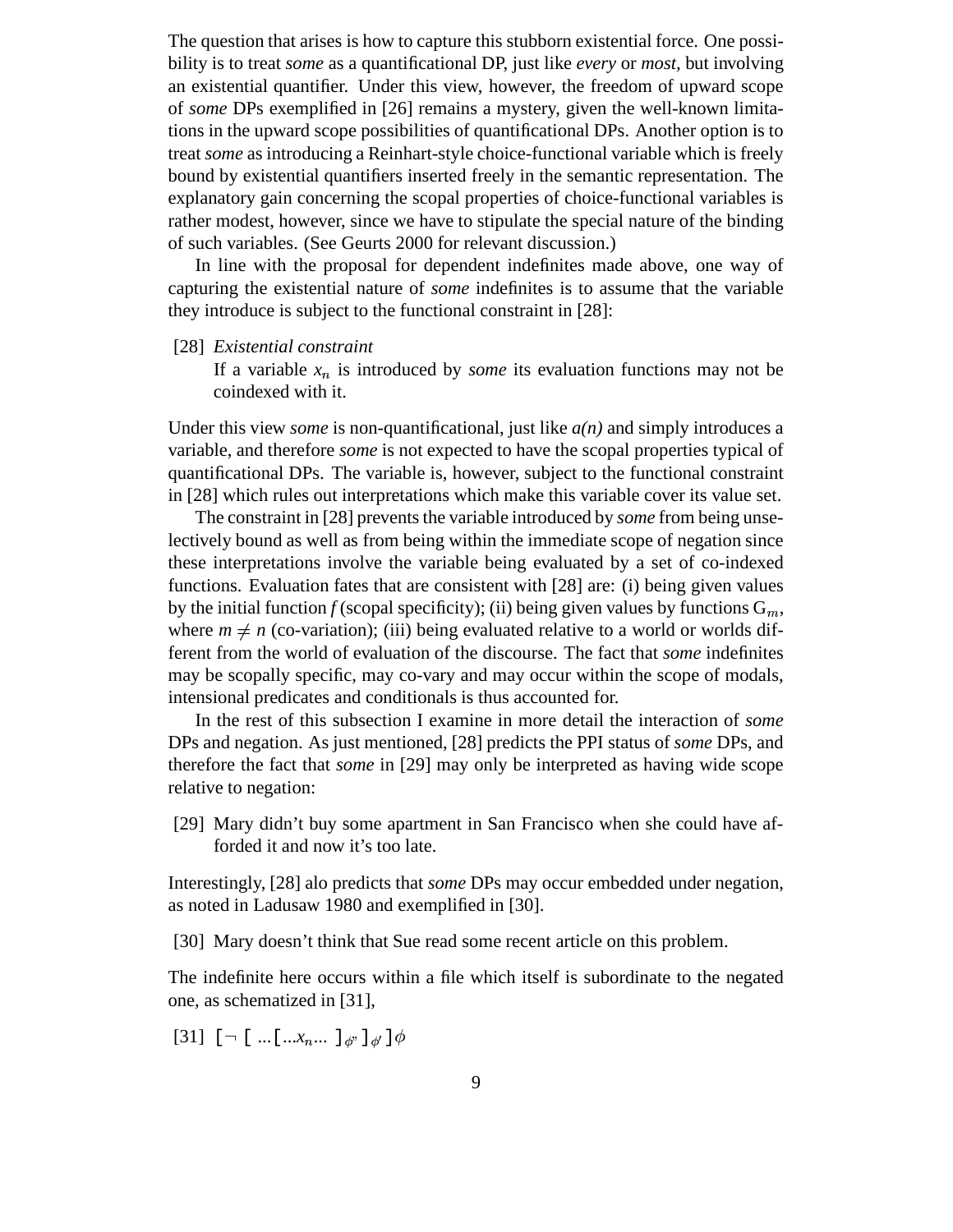The question that arises is how to capture this stubborn existential force. One possibility is to treat *some* as a quantificational DP, just like *every* or *most,* but involving an existential quantifier. Under this view, however, the freedom of upward scope of *some* DPs exemplified in [26] remains a mystery, given the well-known limitations in the upward scope possibilities of quantificational DPs. Another option is to treat *some* as introducing a Reinhart-style choice-functional variable which is freely bound by existential quantifiers inserted freely in the semantic representation. The explanatory gain concerning the scopal properties of choice-functional variables is rather modest, however, since we have to stipulate the special nature of the binding of such variables. (See Geurts 2000 for relevant discussion.)

In line with the proposal for dependent indefinites made above, one way of capturing the existential nature of *some* indefinites is to assume that the variable they introduce is subject to the functional constraint in [28]:

[28] *Existential constraint*

If a variable  $x_n$  is introduced by *some* its evaluation functions may not be coindexed with it.

Under this view *some* is non-quantificational, just like *a(n)* and simply introduces a variable, and therefore *some* is not expected to have the scopal properties typical of quantificational DPs. The variable is, however, subject to the functional constraint in [28] which rules out interpretations which make this variable cover its value set.

The constraint in [28] prevents the variable introduced by *some* from being unselectively bound as well as from being within the immediate scope of negation since these interpretations involve the variable being evaluated by a set of co-indexed functions. Evaluation fates that are consistent with [28] are: (i) being given values by the initial function  $f$  (scopal specificity); (ii) being given values by functions  $G_m$ , where  $m \neq n$  (co-variation); (iii) being evaluated relative to a world or worlds different from the world of evaluation of the discourse. The fact that *some* indefinites may be scopally specific, may co-vary and may occur within the scope of modals, intensional predicates and conditionals is thus accounted for.

In the rest of this subsection I examine in more detail the interaction of *some* DPs and negation. As just mentioned, [28] predicts the PPI status of *some* DPs, and therefore the fact that *some* in [29] may only be interpreted as having wide scope relative to negation:

[29] Mary didn't buy some apartment in San Francisco when she could have afforded it and now it's too late.

Interestingly, [28] alo predicts that *some* DPs may occur embedded under negation, as noted in Ladusaw 1980 and exemplified in [30].

[30] Mary doesn't think that Sue read some recent article on this problem.

The indefinite here occurs within a file which itself is subordinate to the negated one, as schematized in [31],

[31]  $[-1, \ldots, [...x_n, \ldots, ]_{\phi^n}]_{\phi'}]_{\phi}$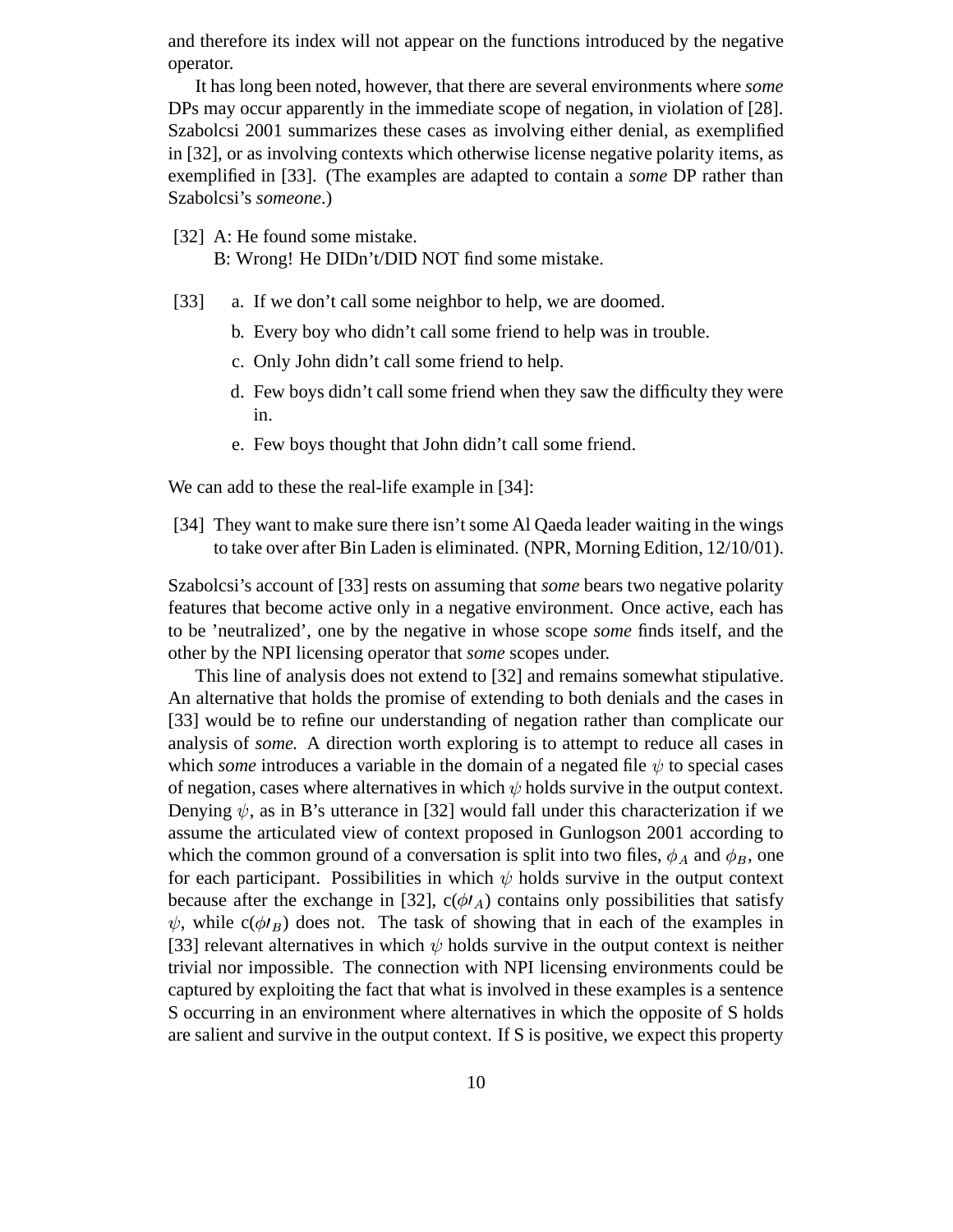and therefore its index will not appear on the functions introduced by the negative operator.

It has long been noted, however, that there are several environments where *some* DPs may occur apparently in the immediate scope of negation, in violation of [28]. Szabolcsi 2001 summarizes these cases as involving either denial, as exemplified in [32], or as involving contexts which otherwise license negative polarity items, as exemplified in [33]. (The examples are adapted to contain a *some* DP rather than Szabolcsi's *someone*.)

[32] A: He found some mistake.

B: Wrong! He DIDn't/DID NOT find some mistake.

- [33] a. If we don't call some neighbor to help, we are doomed.
	- b. Every boy who didn't call some friend to help was in trouble.
	- c. Only John didn't call some friend to help.
	- d. Few boys didn't call some friend when they saw the difficulty they were in.
	- e. Few boys thought that John didn't call some friend.

We can add to these the real-life example in [34]:

[34] They want to make sure there isn't some Al Qaeda leader waiting in the wings to take over after Bin Laden is eliminated. (NPR, Morning Edition, 12/10/01).

Szabolcsi's account of [33] rests on assuming that *some* bears two negative polarity features that become active only in a negative environment. Once active, each has to be 'neutralized', one by the negative in whose scope *some* finds itself, and the other by the NPI licensing operator that *some* scopes under.

This line of analysis does not extend to [32] and remains somewhat stipulative. An alternative that holds the promise of extending to both denials and the cases in [33] would be to refine our understanding of negation rather than complicate our analysis of *some.* A direction worth exploring is to attempt to reduce all cases in which *some* introduces a variable in the domain of a negated file  $\psi$  to special cases of negation, cases where alternatives in which  $\psi$  holds survive in the output context. Denying  $\psi$ , as in B's utterance in [32] would fall under this characterization if we assume the articulated view of context proposed in Gunlogson 2001 according to which the common ground of a conversation is split into two files,  $\phi_A$  and  $\phi_B$ , one for each participant. Possibilities in which  $\psi$  holds survive in the output context because after the exchange in [32],  $c(\phi/\chi)$  contains only possibilities that satisfy  $\psi$ , while  $c(\phi r_B)$  does not. The task of showing that in each of the examples in [33] relevant alternatives in which  $\psi$  holds survive in the output context is neither trivial nor impossible. The connection with NPI licensing environments could be captured by exploiting the fact that what is involved in these examples is a sentence S occurring in an environment where alternatives in which the opposite of S holds are salient and survive in the output context. If S is positive, we expect this property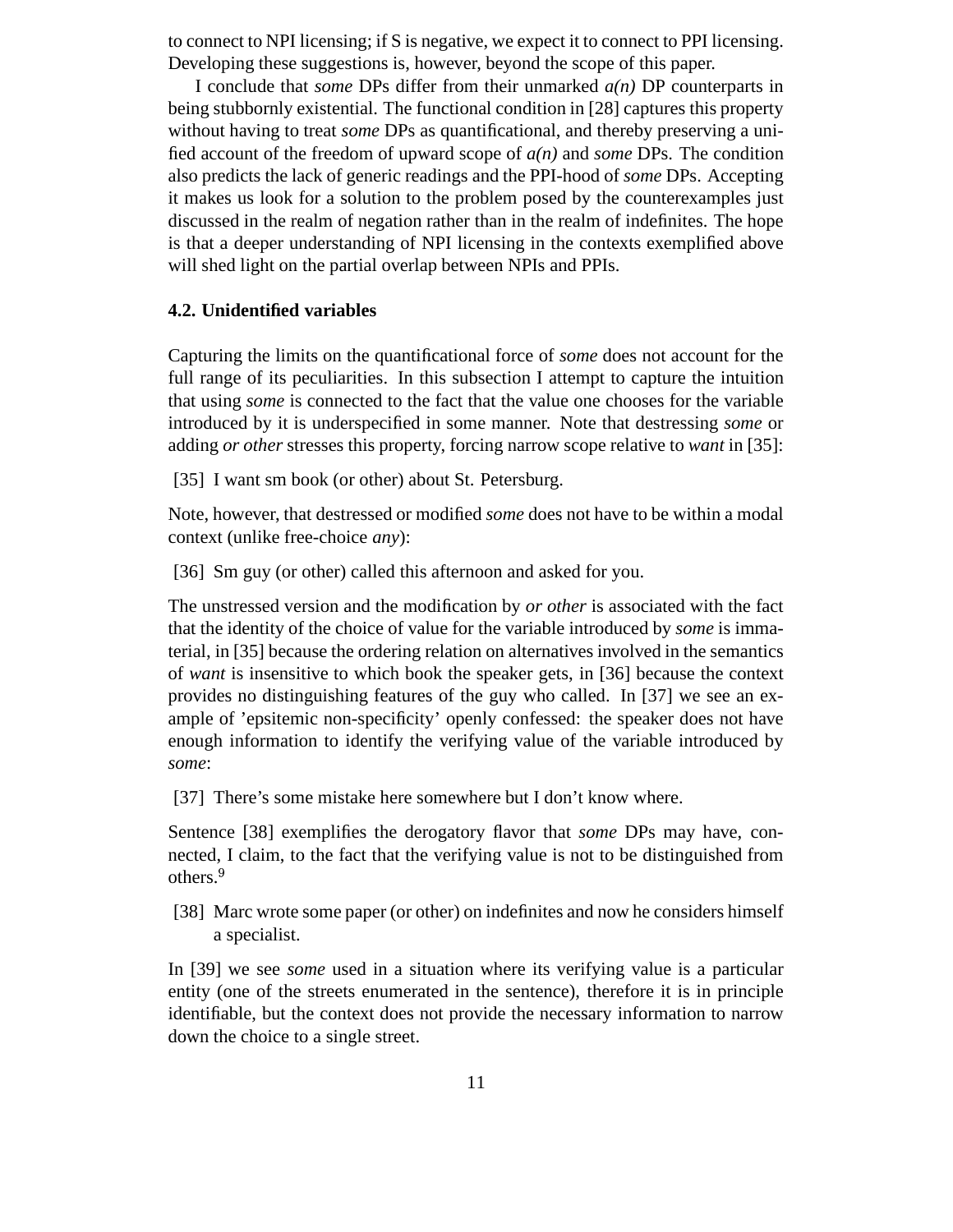to connect to NPI licensing; if S is negative, we expect it to connect to PPI licensing. Developing these suggestions is, however, beyond the scope of this paper.

I conclude that *some* DPs differ from their unmarked *a(n)* DP counterparts in being stubbornly existential. The functional condition in [28] captures this property without having to treat *some* DPs as quantificational, and thereby preserving a unified account of the freedom of upward scope of *a(n)* and *some* DPs. The condition also predicts the lack of generic readings and the PPI-hood of *some* DPs. Accepting it makes us look for a solution to the problem posed by the counterexamples just discussed in the realm of negation rather than in the realm of indefinites. The hope is that a deeper understanding of NPI licensing in the contexts exemplified above will shed light on the partial overlap between NPIs and PPIs.

### **4.2. Unidentified variables**

Capturing the limits on the quantificational force of *some* does not account for the full range of its peculiarities. In this subsection I attempt to capture the intuition that using *some* is connected to the fact that the value one chooses for the variable introduced by it is underspecified in some manner. Note that destressing *some* or adding *or other* stresses this property, forcing narrow scope relative to *want* in [35]:

[35] I want sm book (or other) about St. Petersburg.

Note, however, that destressed or modified *some* does not have to be within a modal context (unlike free-choice *any*):

[36] Sm guy (or other) called this afternoon and asked for you.

The unstressed version and the modification by *or other* is associated with the fact that the identity of the choice of value for the variable introduced by *some* is immaterial, in [35] because the ordering relation on alternatives involved in the semantics of *want* is insensitive to which book the speaker gets, in [36] because the context provides no distinguishing features of the guy who called. In [37] we see an example of 'epsitemic non-specificity' openly confessed: the speaker does not have enough information to identify the verifying value of the variable introduced by *some*:

[37] There's some mistake here somewhere but I don't know where.

Sentence [38] exemplifies the derogatory flavor that *some* DPs may have, connected, I claim, to the fact that the verifying value is not to be distinguished from others.<sup>9</sup>

[38] Marc wrote some paper (or other) on indefinites and now he considers himself a specialist.

In [39] we see *some* used in a situation where its verifying value is a particular entity (one of the streets enumerated in the sentence), therefore it is in principle identifiable, but the context does not provide the necessary information to narrow down the choice to a single street.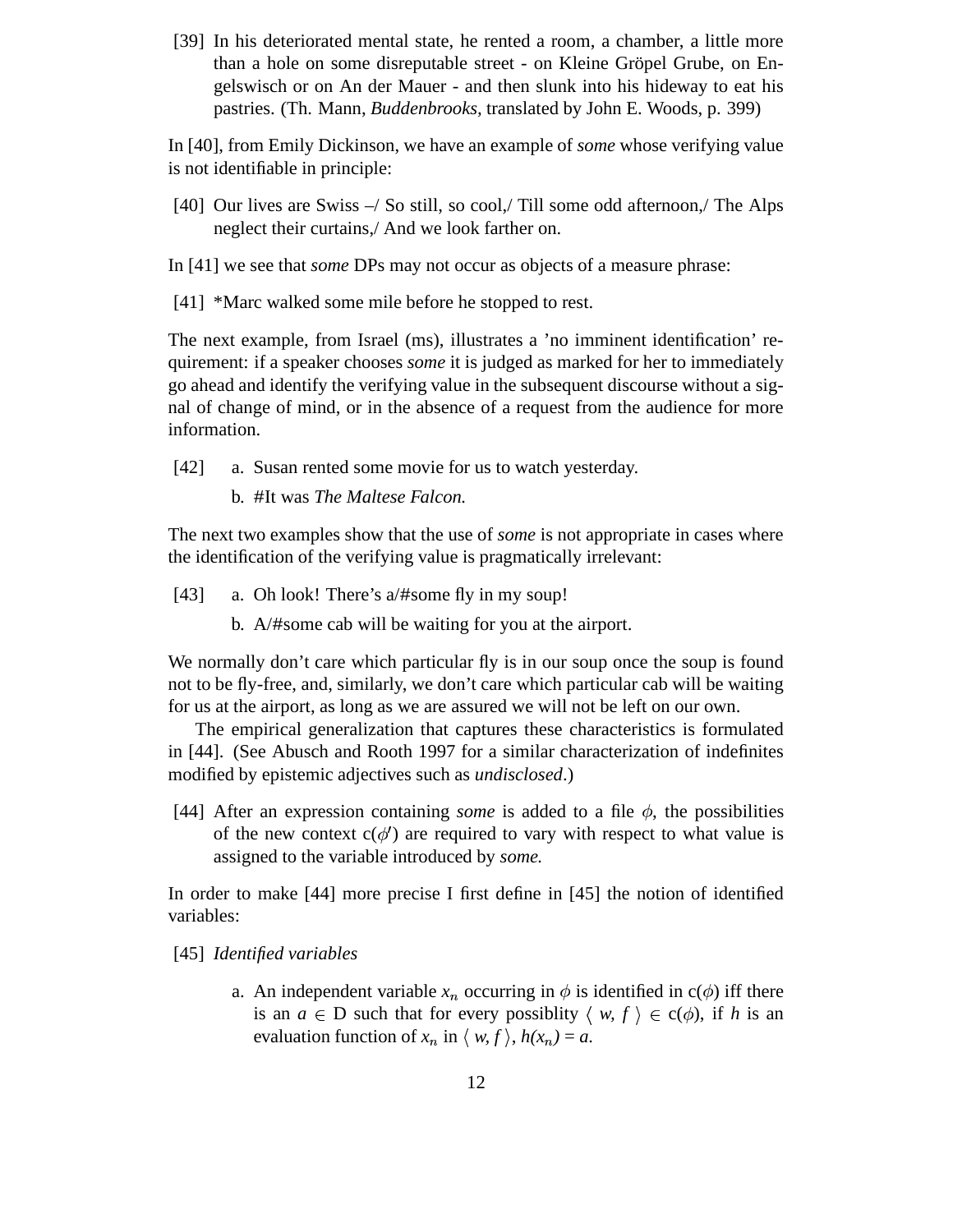[39] In his deteriorated mental state, he rented a room, a chamber, a little more than a hole on some disreputable street - on Kleine Gröpel Grube, on Engelswisch or on An der Mauer - and then slunk into his hideway to eat his pastries. (Th. Mann, *Buddenbrooks,* translated by John E. Woods, p. 399)

In [40], from Emily Dickinson, we have an example of *some* whose verifying value is not identifiable in principle:

- [40] Our lives are Swiss  $-/-$  So still, so cool, Till some odd afternoon, The Alps neglect their curtains,/ And we look farther on.
- In [41] we see that *some* DPs may not occur as objects of a measure phrase:
- [41] \*Marc walked some mile before he stopped to rest.

The next example, from Israel (ms), illustrates a 'no imminent identification' requirement: if a speaker chooses *some* it is judged as marked for her to immediately go ahead and identify the verifying value in the subsequent discourse without a signal of change of mind, or in the absence of a request from the audience for more information.

- [42] a. Susan rented some movie for us to watch yesterday.
	- b. #It was *The Maltese Falcon.*

The next two examples show that the use of *some* is not appropriate in cases where the identification of the verifying value is pragmatically irrelevant:

- [43] a. Oh look! There's a/#some fly in my soup!
	- b. A/#some cab will be waiting for you at the airport.

We normally don't care which particular fly is in our soup once the soup is found not to be fly-free, and, similarly, we don't care which particular cab will be waiting for us at the airport, as long as we are assured we will not be left on our own.

The empirical generalization that captures these characteristics is formulated in [44]. (See Abusch and Rooth 1997 for a similar characterization of indefinites modified by epistemic adjectives such as *undisclosed*.)

[44] After an expression containing *some* is added to a file  $\phi$ , the possibilities of the new context  $c(\phi')$  are required to vary with respect to what value is assigned to the variable introduced by *some.*

In order to make [44] more precise I first define in [45] the notion of identified variables:

[45] *Identified variables*

a. An independent variable  $x_n$  occurring in  $\phi$  is identified in  $c(\phi)$  iff there is an  $a \in D$  such that for every possiblity  $\langle w, f \rangle \in c(\phi)$ , if *h* is an evaluation function of  $x_n$  in  $\langle w, f \rangle$ ,  $h(x_n) = a$ .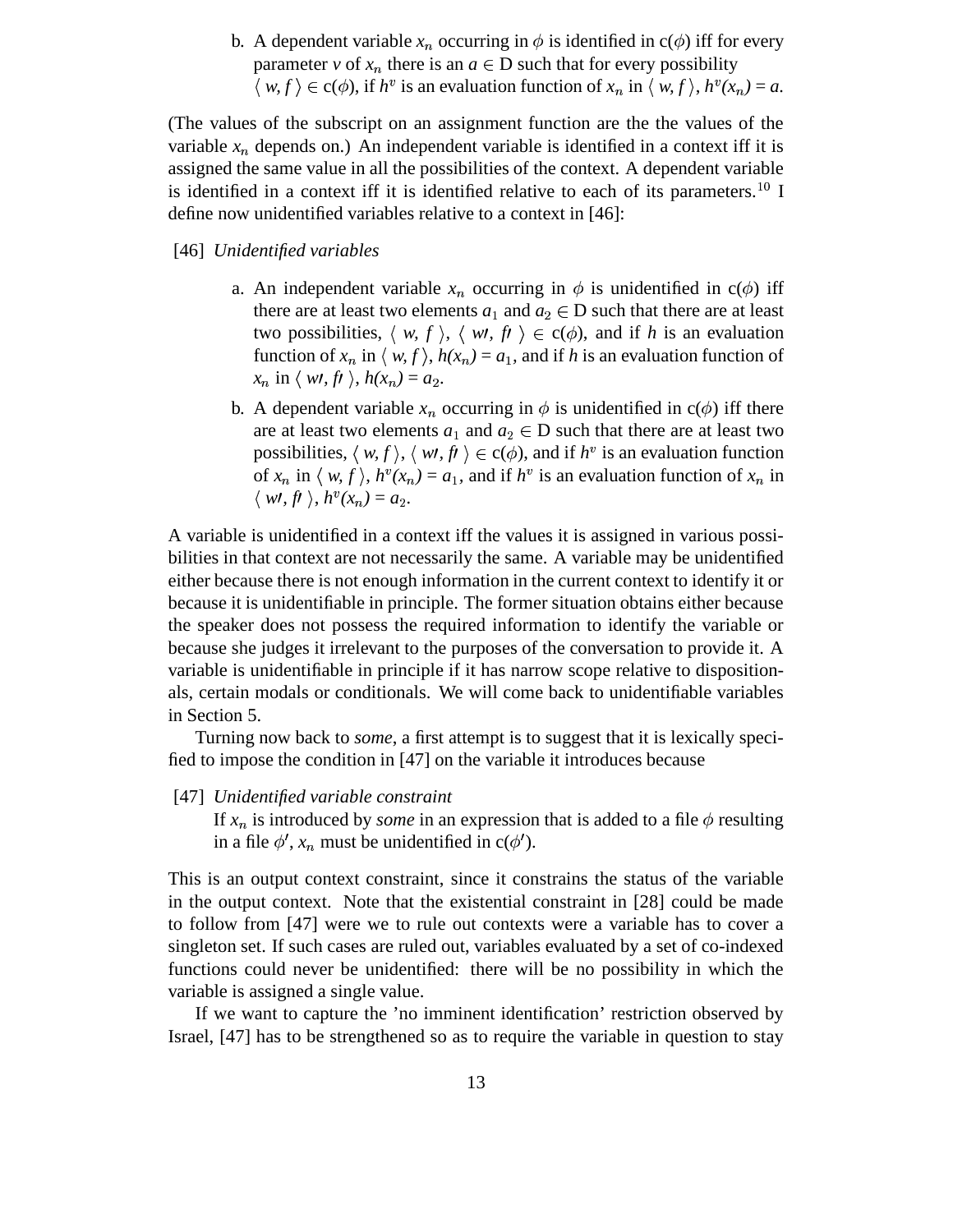b. A dependent variable  $x_n$  occurring in  $\phi$  is identified in  $c(\phi)$  iff for every parameter *v* of  $x_n$  there is an  $a \in D$  such that for every possibility  $\langle w, f \rangle \in c(\phi)$ , if  $h^v$  is an evaluation function of  $x_n$  in  $\langle w, f \rangle$ ,  $h^v(x_n) = a$ .

(The values of the subscript on an assignment function are the the values of the variable  $x_n$  depends on.) An independent variable is identified in a context iff it is assigned the same value in all the possibilities of the context. A dependent variable is identified in a context iff it is identified relative to each of its parameters.<sup>10</sup> I define now unidentified variables relative to a context in [46]:

- [46] *Unidentified variables*
	- a. An independent variable  $x_n$  occurring in  $\phi$  is unidentified in  $c(\phi)$  iff there are at least two elements  $a_1$  and  $a_2 \in D$  such that there are at least two possibilities,  $\langle w, f \rangle$ ,  $\langle w, f \rangle \in c(\phi)$ , and if *h* is an evaluation function of  $x_n$  in  $\langle w, f \rangle$ ,  $h(x_n) = a_1$ , and if *h* is an evaluation function of  $x_n$  in  $\langle w, f \rangle$ ,  $h(x_n) = a_2$ .
	- b. A dependent variable  $x_n$  occurring in  $\phi$  is unidentified in  $c(\phi)$  iff there are at least two elements  $a_1$  and  $a_2 \in D$  such that there are at least two possibilities,  $\langle w, f \rangle$ ,  $\langle w, f \rangle \in c(\phi)$ , and if  $h^v$  is an evaluation function of  $x_n$  in  $\langle w, f \rangle$ ,  $h^v(x_n) = a_1$ , and if  $h^v$  is an evaluation function of  $x_n$  in  $\langle wI, fI \rangle$ ,  $h^v(x_n) = a_2$ .

A variable is unidentified in a context iff the values it is assigned in various possibilities in that context are not necessarily the same. A variable may be unidentified either because there is not enough information in the current context to identify it or because it is unidentifiable in principle. The former situation obtains either because the speaker does not possess the required information to identify the variable or because she judges it irrelevant to the purposes of the conversation to provide it. A variable is unidentifiable in principle if it has narrow scope relative to dispositionals, certain modals or conditionals. We will come back to unidentifiable variables in Section 5.

Turning now back to *some*, a first attempt is to suggest that it is lexically specified to impose the condition in [47] on the variable it introduces because

[47] *Unidentified variable constraint*

If  $x_n$  is introduced by *some* in an expression that is added to a file  $\phi$  resulting in a file  $\phi'$ ,  $x_n$  must be unidentified in  $c(\phi')$ .

This is an output context constraint, since it constrains the status of the variable in the output context. Note that the existential constraint in [28] could be made to follow from [47] were we to rule out contexts were a variable has to cover a singleton set. If such cases are ruled out, variables evaluated by a set of co-indexed functions could never be unidentified: there will be no possibility in which the variable is assigned a single value.

If we want to capture the 'no imminent identification' restriction observed by Israel, [47] has to be strengthened so as to require the variable in question to stay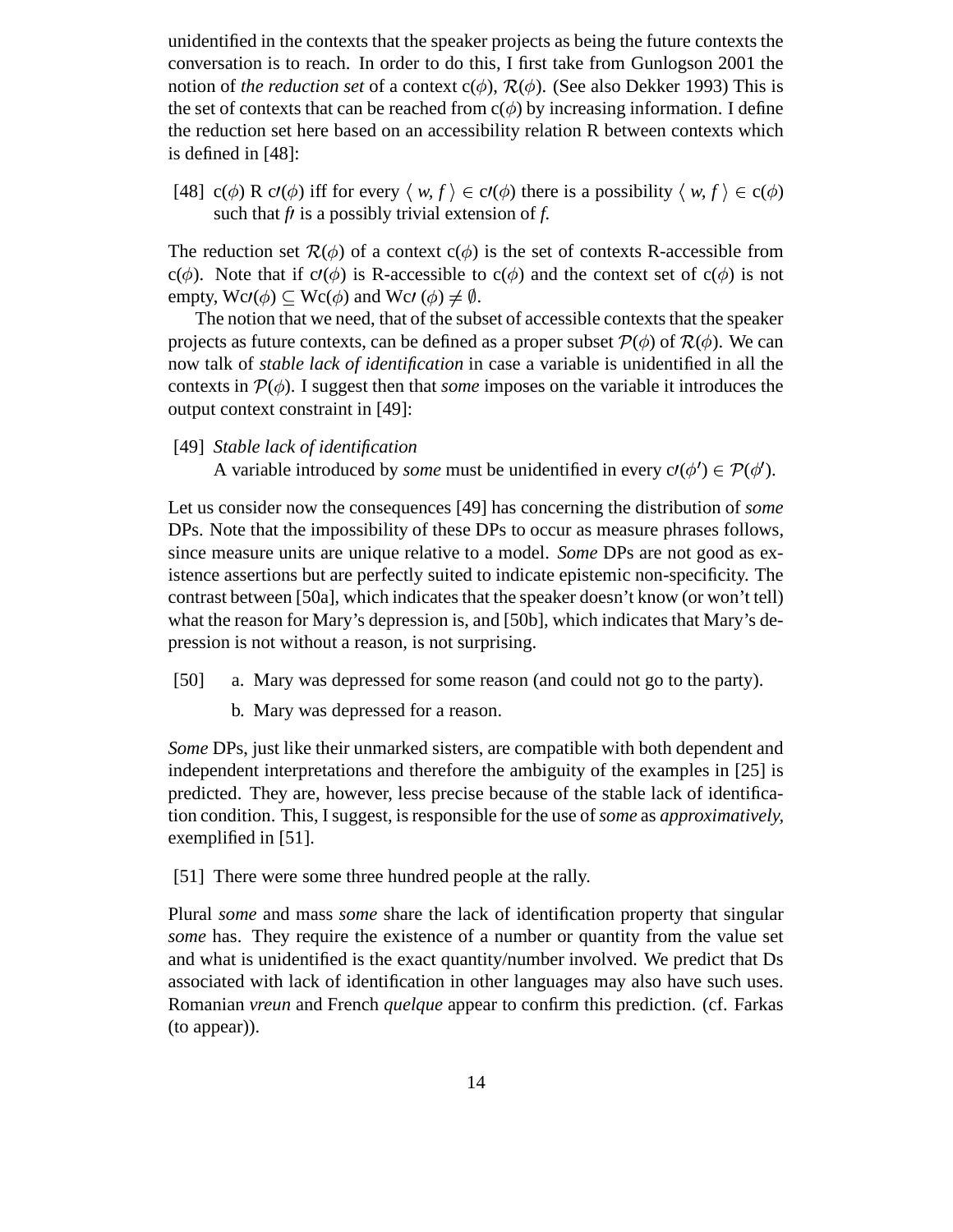unidentified in the contexts that the speaker projects as being the future contexts the conversation is to reach. In order to do this, I first take from Gunlogson 2001 the notion of *the reduction set* of a context  $c(\phi)$ ,  $\mathcal{R}(\phi)$ . (See also Dekker 1993) This is the set of contexts that can be reached from  $c(\phi)$  by increasing information. I define the reduction set here based on an accessibility relation R between contexts which is defined in [48]:

[48]  $c(\phi) \text{ R } c'(\phi)$  iff for every  $\langle w, f \rangle \in c'(\phi)$  there is a possibility  $\langle w, f \rangle \in c(\phi)$ such that  $f$  is a possibly trivial extension of  $f$ .

The reduction set  $\mathcal{R}(\phi)$  of a context  $c(\phi)$  is the set of contexts R-accessible from c( $\phi$ ). Note that if  $c\prime(\phi)$  is R-accessible to  $c(\phi)$  and the context set of  $c(\phi)$  is not empty,  $\text{Wc}t(\phi) \subseteq \text{Wc}(\phi)$  and  $\text{Wc}t(\phi) \neq \emptyset$ .

The notion that we need, that of the subset of accessible contexts that the speaker projects as future contexts, can be defined as a proper subset  $\mathcal{P}(\phi)$  of  $\mathcal{R}(\phi)$ . We can now talk of *stable lack of identification* in case a variable is unidentified in all the contexts in  $P(\phi)$ . I suggest then that *some* imposes on the variable it introduces the output context constraint in [49]:

[49] *Stable lack of identification*

A variable introduced by *some* must be unidentified in every  $c\prime(\phi') \in \mathcal{P}(\phi')$ .

Let us consider now the consequences [49] has concerning the distribution of *some* DPs. Note that the impossibility of these DPs to occur as measure phrases follows, since measure units are unique relative to a model. *Some* DPs are not good as existence assertions but are perfectly suited to indicate epistemic non-specificity. The contrast between [50a], which indicatesthat the speaker doesn't know (or won't tell) what the reason for Mary's depression is, and [50b], which indicates that Mary's depression is not without a reason, is not surprising.

- [50] a. Mary was depressed for some reason (and could not go to the party).
	- b. Mary was depressed for a reason.

*Some* DPs, just like their unmarked sisters, are compatible with both dependent and independent interpretations and therefore the ambiguity of the examples in [25] is predicted. They are, however, less precise because of the stable lack of identification condition. This, Isuggest, isresponsible for the use of*some* as *approximatively,* exemplified in [51].

[51] There were some three hundred people at the rally.

Plural *some* and mass *some* share the lack of identification property that singular *some* has. They require the existence of a number or quantity from the value set and what is unidentified is the exact quantity/number involved. We predict that Ds associated with lack of identification in other languages may also have such uses. Romanian *vreun* and French *quelque* appear to confirm this prediction. (cf. Farkas (to appear)).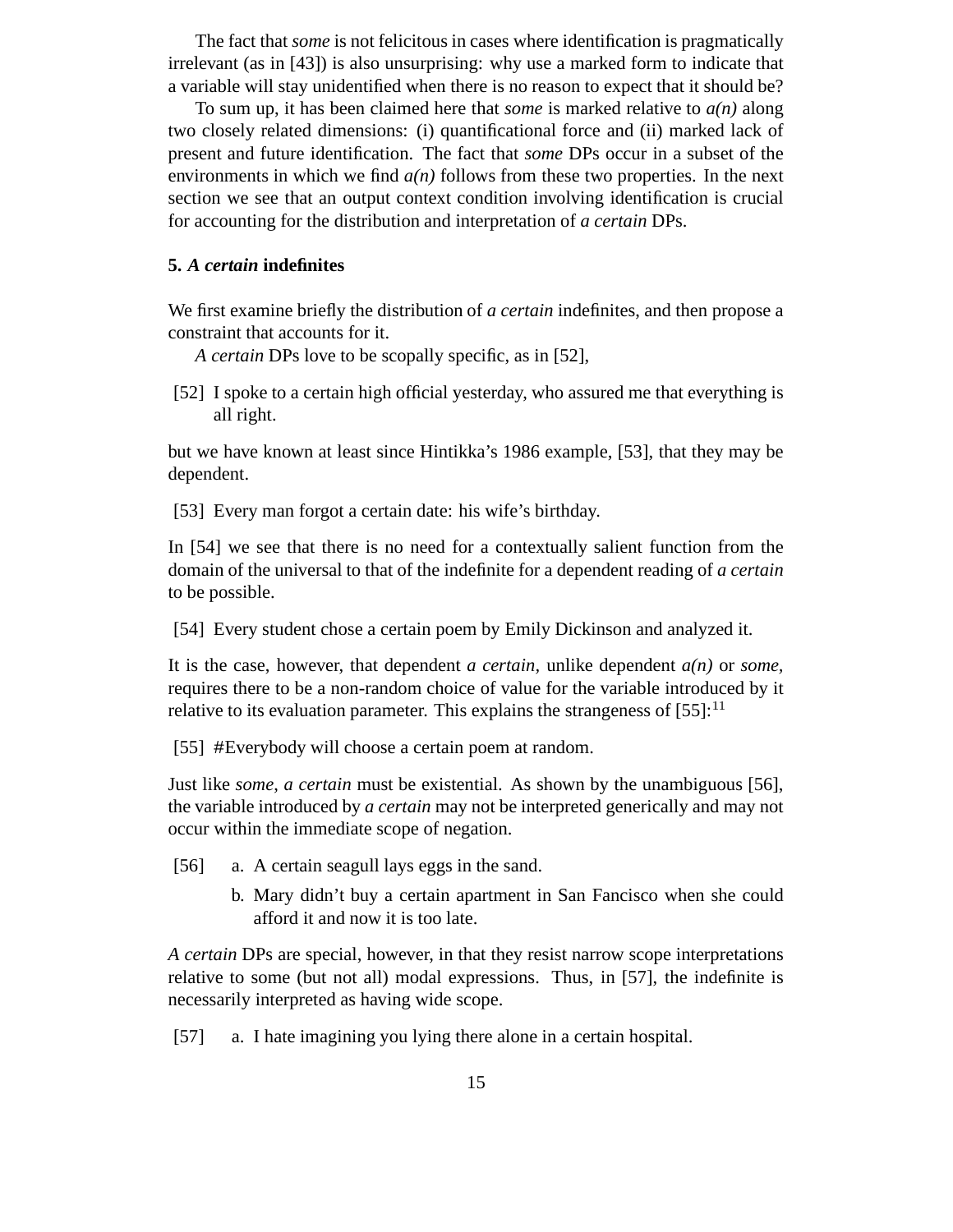The fact that *some* is not felicitous in cases where identification is pragmatically irrelevant (as in [43]) is also unsurprising: why use a marked form to indicate that a variable will stay unidentified when there is no reason to expect that it should be?

To sum up, it has been claimed here that *some* is marked relative to *a(n)* along two closely related dimensions: (i) quantificational force and (ii) marked lack of present and future identification. The fact that *some* DPs occur in a subset of the environments in which we find  $a(n)$  follows from these two properties. In the next section we see that an output context condition involving identification is crucial for accounting for the distribution and interpretation of *a certain* DPs.

### **5.** *A certain* **indefinites**

We first examine briefly the distribution of *a certain* indefinites, and then propose a constraint that accounts for it.

*A certain* DPs love to be scopally specific, as in [52],

[52] I spoke to a certain high official yesterday, who assured me that everything is all right.

but we have known at least since Hintikka's 1986 example, [53], that they may be dependent.

[53] Every man forgot a certain date: his wife's birthday.

In [54] we see that there is no need for a contextually salient function from the domain of the universal to that of the indefinite for a dependent reading of *a certain* to be possible.

[54] Every student chose a certain poem by Emily Dickinson and analyzed it.

It is the case, however, that dependent *a certain*, unlike dependent  $a(n)$  or *some*, requires there to be a non-random choice of value for the variable introduced by it relative to its evaluation parameter. This explains the strangeness of  $[55]$ :<sup>1</sup>

[55] #Everybody will choose a certain poem at random.

Just like *some*, *a certain* must be existential. As shown by the unambiguous [56], the variable introduced by *a certain* may not be interpreted generically and may not occur within the immediate scope of negation.

- [56] a. A certain seagull lays eggs in the sand.
	- b. Mary didn't buy a certain apartment in San Fancisco when she could afford it and now it is too late.

*A certain* DPs are special, however, in that they resist narrow scope interpretations relative to some (but not all) modal expressions. Thus, in [57], the indefinite is necessarily interpreted as having wide scope.

[57] a. I hate imagining you lying there alone in a certain hospital.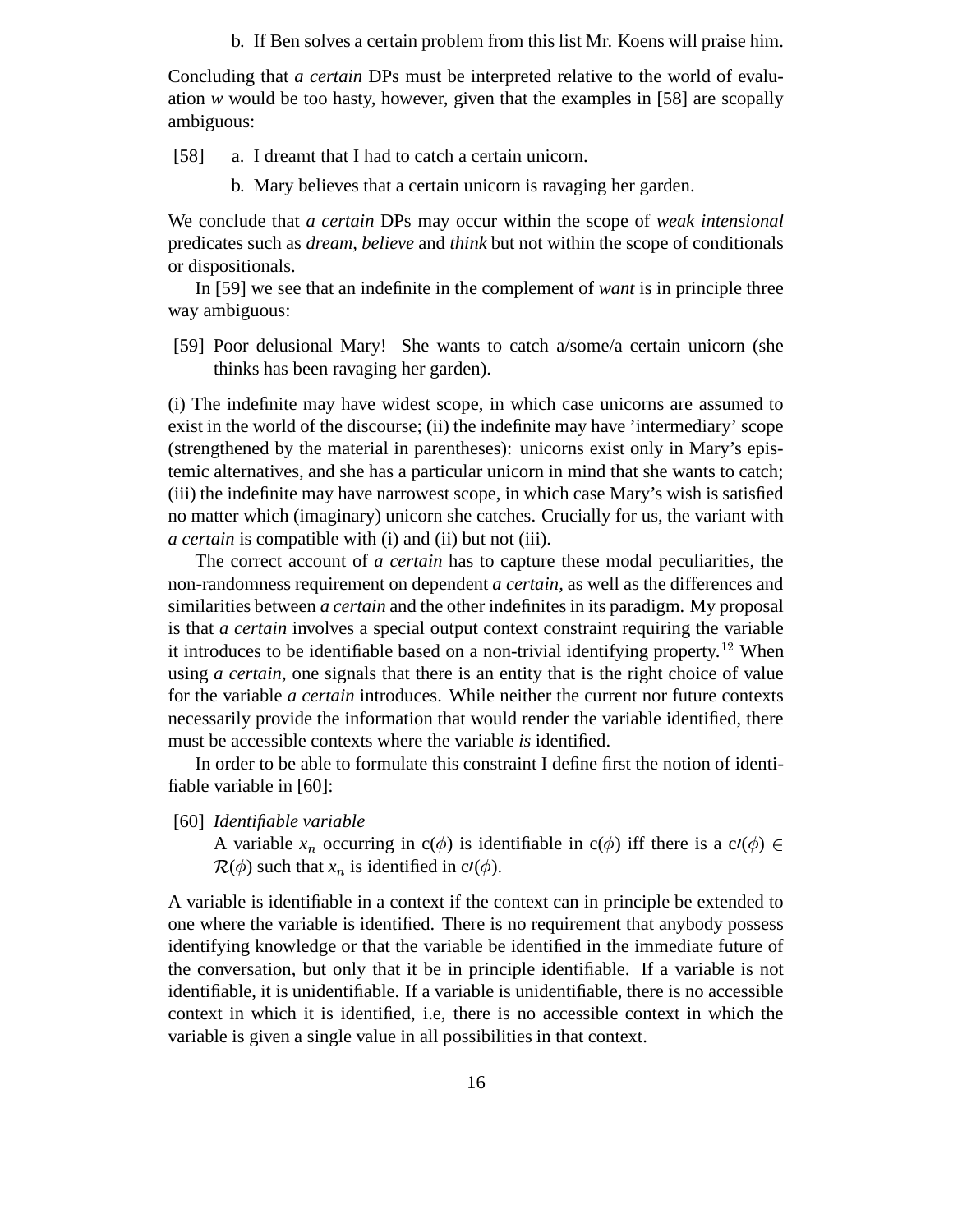b. If Ben solves a certain problem from this list Mr. Koens will praise him.

Concluding that *a certain* DPs must be interpreted relative to the world of evaluation *w* would be too hasty, however, given that the examples in [58] are scopally ambiguous:

[58] a. I dreamt that I had to catch a certain unicorn.

b. Mary believes that a certain unicorn is ravaging her garden.

We conclude that *a certain* DPs may occur within the scope of *weak intensional* predicates such as *dream, believe* and *think* but not within the scope of conditionals or dispositionals.

In [59] we see that an indefinite in the complement of *want* is in principle three way ambiguous:

[59] Poor delusional Mary! She wants to catch a/some/a certain unicorn (she thinks has been ravaging her garden).

(i) The indefinite may have widest scope, in which case unicorns are assumed to exist in the world of the discourse; (ii) the indefinite may have 'intermediary' scope (strengthened by the material in parentheses): unicorns exist only in Mary's epistemic alternatives, and she has a particular unicorn in mind that she wants to catch; (iii) the indefinite may have narrowest scope, in which case Mary's wish is satisfied no matter which (imaginary) unicorn she catches. Crucially for us, the variant with *a certain* is compatible with (i) and (ii) but not (iii).

The correct account of *a certain* has to capture these modal peculiarities, the non-randomness requirement on dependent *a certain,* as well as the differences and similarities between *a certain* and the other indefinitesin its paradigm. My proposal is that *a certain* involves a special output context constraint requiring the variable it introduces to be identifiable based on a non-trivial identifying property.<sup>12</sup> When using *a certain,* one signals that there is an entity that is the right choice of value for the variable *a certain* introduces. While neither the current nor future contexts necessarily provide the information that would render the variable identified, there must be accessible contexts where the variable *is* identified.

In order to be able to formulate this constraint I define first the notion of identifiable variable in [60]:

[60] *Identifiable variable*

A variable  $x_n$  occurring in  $c(\phi)$  is identifiable in  $c(\phi)$  iff there is a  $c'(\phi) \in$  $\mathcal{R}(\phi)$  such that  $x_n$  is identified in  $c \prime(\phi)$ .

A variable is identifiable in a context if the context can in principle be extended to one where the variable is identified. There is no requirement that anybody possess identifying knowledge or that the variable be identified in the immediate future of the conversation, but only that it be in principle identifiable. If a variable is not identifiable, it is unidentifiable. If a variable is unidentifiable, there is no accessible context in which it is identified, i.e, there is no accessible context in which the variable is given a single value in all possibilities in that context.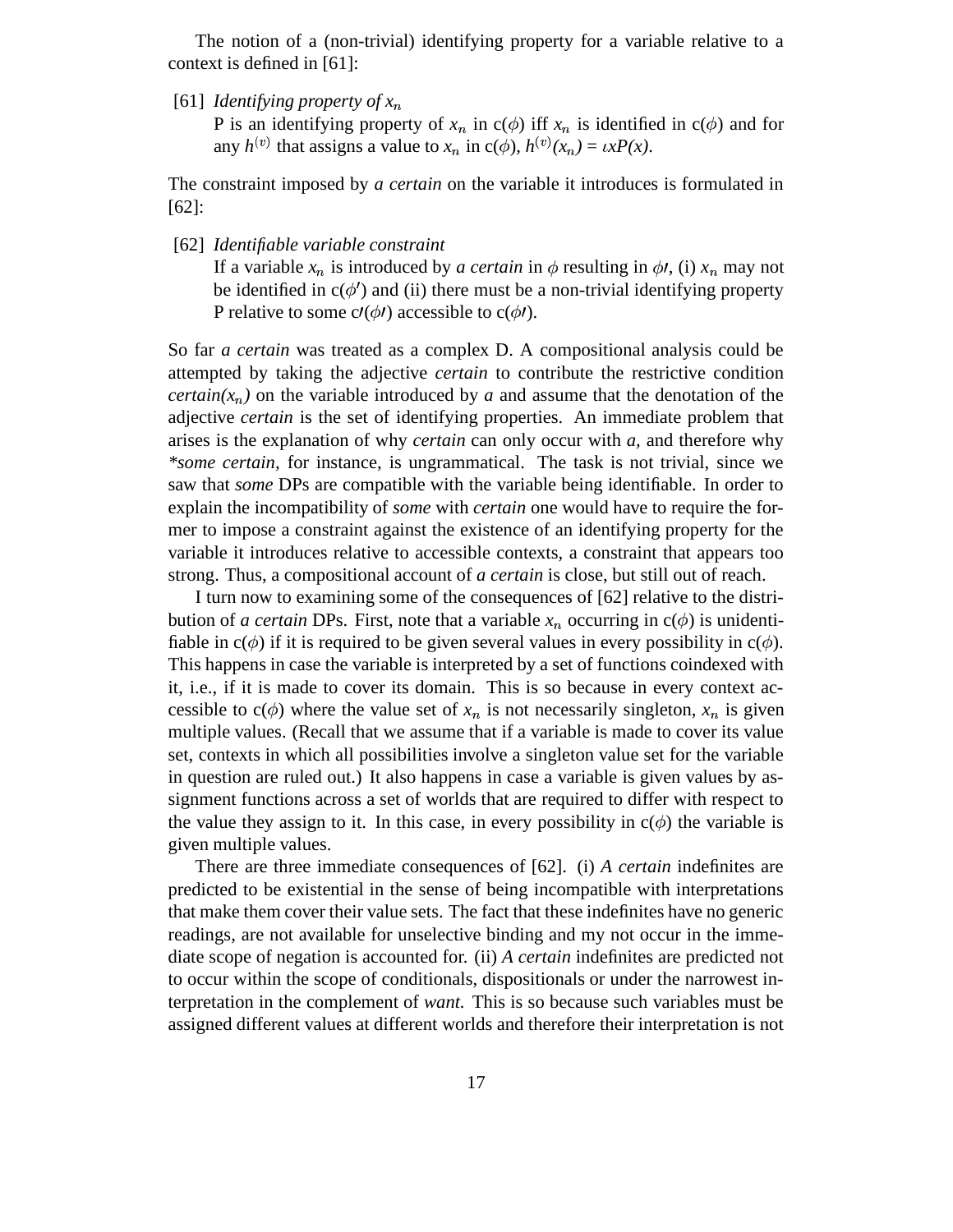The notion of a (non-trivial) identifying property for a variable relative to a context is defined in [61]:

[61] *Identifying property of*  $x_n$ 

P is an identifying property of  $x_n$  in  $c(\phi)$  iff  $x_n$  is identified in  $c(\phi)$  and for any  $h^{(v)}$  that assigns a value to  $x_n$  in  $c(\phi)$ ,  $h^{(v)}(x_n) = \iota x P(x)$ .

The constraint imposed by *a certain* on the variable it introduces is formulated in [62]:

[62] *Identifiable variable constraint*

If a variable  $x_n$  is introduced by *a certain* in  $\phi$  resulting in  $\phi$ , (i)  $x_n$  may not be identified in  $c(\phi')$  and (ii) there must be a non-trivial identifying property P relative to some  $c\ell(\phi t)$  accessible to  $c(\phi t)$ .

So far *a certain* was treated as a complex D. A compositional analysis could be attempted by taking the adjective *certain* to contribute the restrictive condition *certain(* $x_n$ *)* on the variable introduced by *a* and assume that the denotation of the adjective *certain* is the set of identifying properties. An immediate problem that arises is the explanation of why *certain* can only occur with *a,* and therefore why *\*some certain,* for instance, is ungrammatical. The task is not trivial, since we saw that *some* DPs are compatible with the variable being identifiable. In order to explain the incompatibility of *some* with *certain* one would have to require the former to impose a constraint against the existence of an identifying property for the variable it introduces relative to accessible contexts, a constraint that appears too strong. Thus, a compositional account of *a certain* is close, but still out of reach.

I turn now to examining some of the consequences of [62] relative to the distribution of *a certain* DPs. First, note that a variable  $x_n$  occurring in  $c(\phi)$  is unidentifiable in  $c(\phi)$  if it is required to be given several values in every possibility in  $c(\phi)$ . This happens in case the variable is interpreted by a set of functions coindexed with it, i.e., if it is made to cover its domain. This is so because in every context accessible to  $c(\phi)$  where the value set of  $x_n$  is not necessarily singleton,  $x_n$  is given multiple values. (Recall that we assume that if a variable is made to cover its value set, contexts in which all possibilities involve a singleton value set for the variable in question are ruled out.) It also happens in case a variable is given values by assignment functions across a set of worlds that are required to differ with respect to the value they assign to it. In this case, in every possibility in  $c(\phi)$  the variable is given multiple values.

There are three immediate consequences of [62]. (i) *A certain* indefinites are predicted to be existential in the sense of being incompatible with interpretations that make them cover their value sets. The fact that these indefinites have no generic readings, are not available for unselective binding and my not occur in the immediate scope of negation is accounted for. (ii) *A certain* indefinites are predicted not to occur within the scope of conditionals, dispositionals or under the narrowest interpretation in the complement of *want.* This is so because such variables must be assigned different values at different worlds and therefore their interpretation is not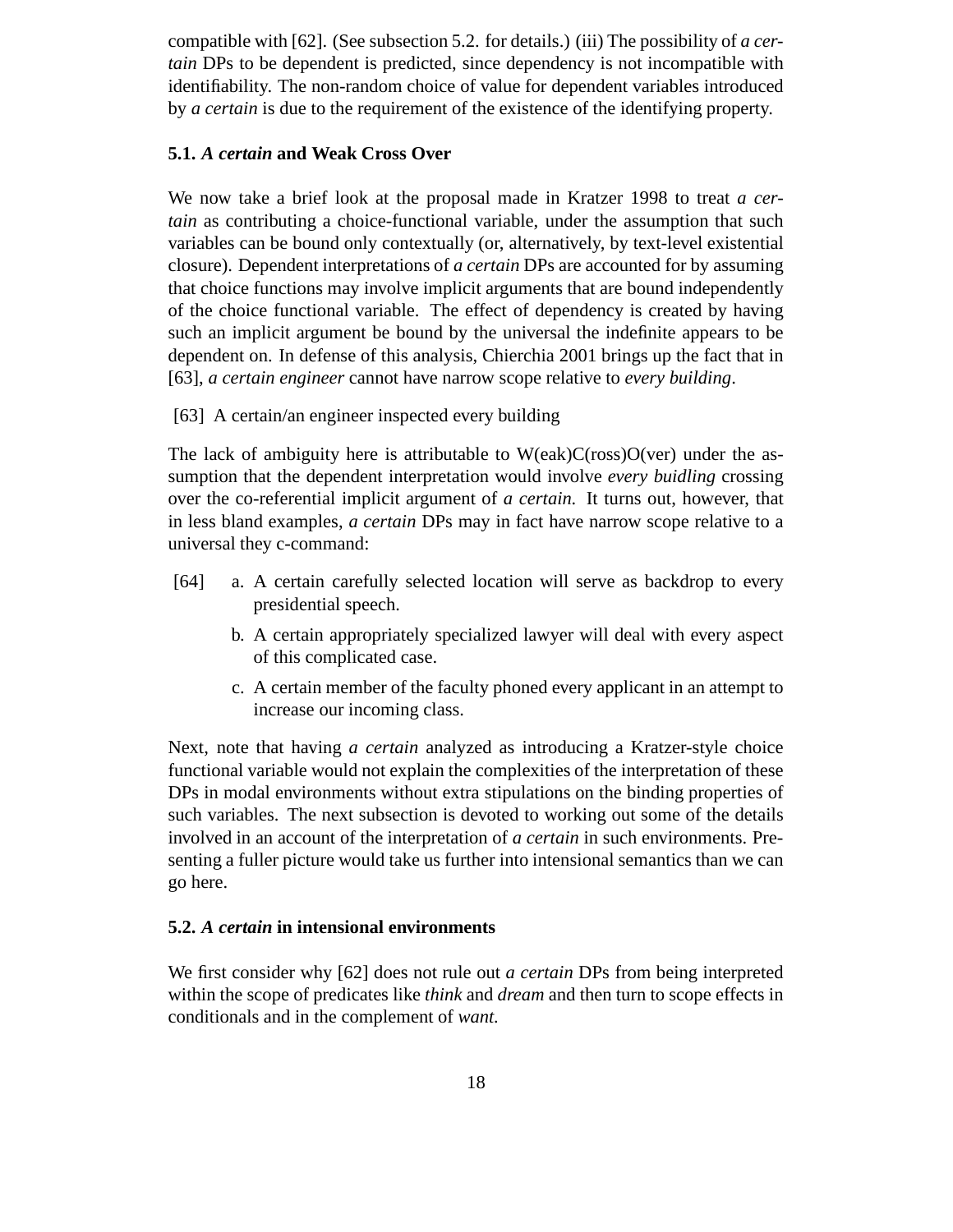compatible with [62]. (See subsection 5.2. for details.) (iii) The possibility of *a certain* DPs to be dependent is predicted, since dependency is not incompatible with identifiability. The non-random choice of value for dependent variables introduced by *a certain* is due to the requirement of the existence of the identifying property.

### **5.1.** *A certain* **and Weak Cross Over**

We now take a brief look at the proposal made in Kratzer 1998 to treat *a certain* as contributing a choice-functional variable, under the assumption that such variables can be bound only contextually (or, alternatively, by text-level existential closure). Dependent interpretations of *a certain* DPs are accounted for by assuming that choice functions may involve implicit arguments that are bound independently of the choice functional variable. The effect of dependency is created by having such an implicit argument be bound by the universal the indefinite appears to be dependent on. In defense of this analysis, Chierchia 2001 brings up the fact that in [63], *a certain engineer* cannot have narrow scope relative to *every building*.

[63] A certain/an engineer inspected every building

The lack of ambiguity here is attributable to  $W(eak)C(ross)O(ver)$  under the assumption that the dependent interpretation would involve *every buidling* crossing over the co-referential implicit argument of *a certain.* It turns out, however, that in less bland examples, *a certain* DPs may in fact have narrow scope relative to a universal they c-command:

- [64] a. A certain carefully selected location will serve as backdrop to every presidential speech.
	- b. A certain appropriately specialized lawyer will deal with every aspect of this complicated case.
	- c. A certain member of the faculty phoned every applicant in an attempt to increase our incoming class.

Next, note that having *a certain* analyzed as introducing a Kratzer-style choice functional variable would not explain the complexities of the interpretation of these DPs in modal environments without extra stipulations on the binding properties of such variables. The next subsection is devoted to working out some of the details involved in an account of the interpretation of *a certain* in such environments. Presenting a fuller picture would take us further into intensional semantics than we can go here.

### **5.2.** *A certain* **in intensional environments**

We first consider why [62] does not rule out *a certain* DPs from being interpreted within the scope of predicates like *think* and *dream* and then turn to scope effects in conditionals and in the complement of *want.*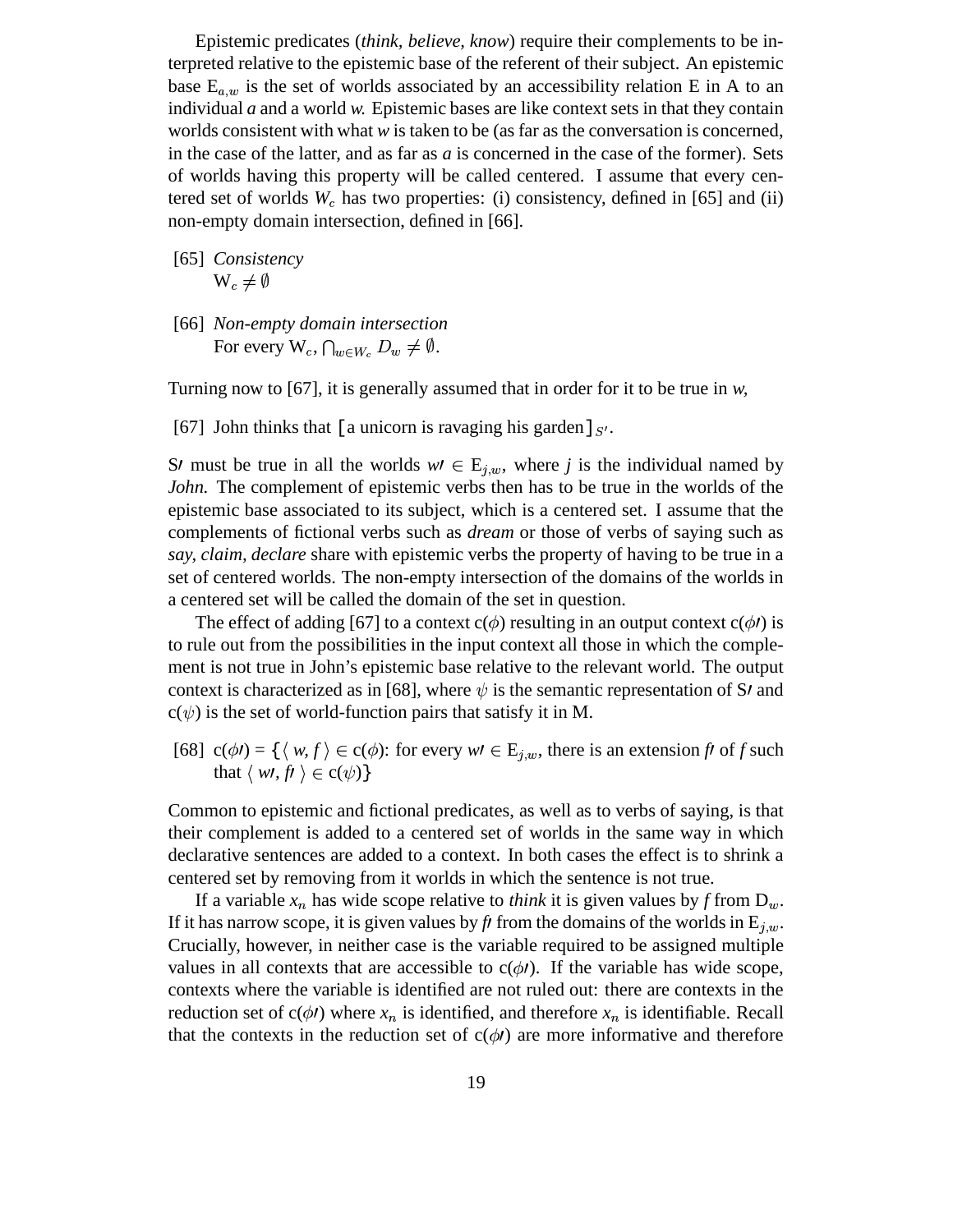Epistemic predicates (*think, believe, know*) require their complements to be interpreted relative to the epistemic base of the referent of their subject. An epistemic base  $E_{a,w}$  is the set of worlds associated by an accessibility relation E in A to an individual *a* and a world *w.* Epistemic bases are like context sets in that they contain worlds consistent with what *w* is taken to be (as far as the conversation is concerned, in the case of the latter, and as far as *a* is concerned in the case of the former). Sets of worlds having this property will be called centered. I assume that every centered set of worlds  $W_c$  has two properties: (i) consistency, defined in [65] and (ii) non-empty domain intersection, defined in [66].

[65] *Consistency*  $W_c \neq \emptyset$ 

[66] *Non-empty domain intersection* For every  $W_c$ ,  $\bigcap_{w \in W_c} D_w \neq \emptyset$ .

Turning now to [67], it is generally assumed that in order for it to be true in *w,*

[67] John thinks that [a unicorn is ravaging his garden]  $S$ .

S' must be true in all the worlds  $w \in E_{j,w}$ , where *j* is the individual named by *John.* The complement of epistemic verbs then has to be true in the worlds of the epistemic base associated to its subject, which is a centered set. I assume that the complements of fictional verbs such as *dream* or those of verbs of saying such as *say, claim, declare* share with epistemic verbs the property of having to be true in a set of centered worlds. The non-empty intersection of the domains of the worlds in a centered set will be called the domain of the set in question.

The effect of adding [67] to a context  $c(\phi)$  resulting in an output context  $c(\phi)$  is to rule out from the possibilities in the input context all those in which the complement is not true in John's epistemic base relative to the relevant world. The output context is characterized as in [68], where  $\psi$  is the semantic representation of S<sup>*i*</sup> and  $c(\psi)$  is the set of world-function pairs that satisfy it in M.

[68]  $c(\phi) = \{ \langle w, f \rangle \in c(\phi) \colon \text{for every } w \in E_{j,w}, \text{ there is an extension } f \text{ of } f \text{ such } \}$ that  $\langle w, f \rangle \in c(\psi)$ 

Common to epistemic and fictional predicates, as well as to verbs of saying, is that their complement is added to a centered set of worlds in the same way in which declarative sentences are added to a context. In both cases the effect is to shrink a centered set by removing from it worlds in which the sentence is not true.

If a variable  $x_n$  has wide scope relative to *think* it is given values by *f* from  $D_w$ . If it has narrow scope, it is given values by  $f$  from the domains of the worlds in  $E_{j,w}$ . Crucially, however, in neither case is the variable required to be assigned multiple values in all contexts that are accessible to  $c(\phi t)$ . If the variable has wide scope, contexts where the variable is identified are not ruled out: there are contexts in the reduction set of  $c(\phi)$  where  $x_n$  is identified, and therefore  $x_n$  is identifiable. Recall that the contexts in the reduction set of  $c(\phi)$  are more informative and therefore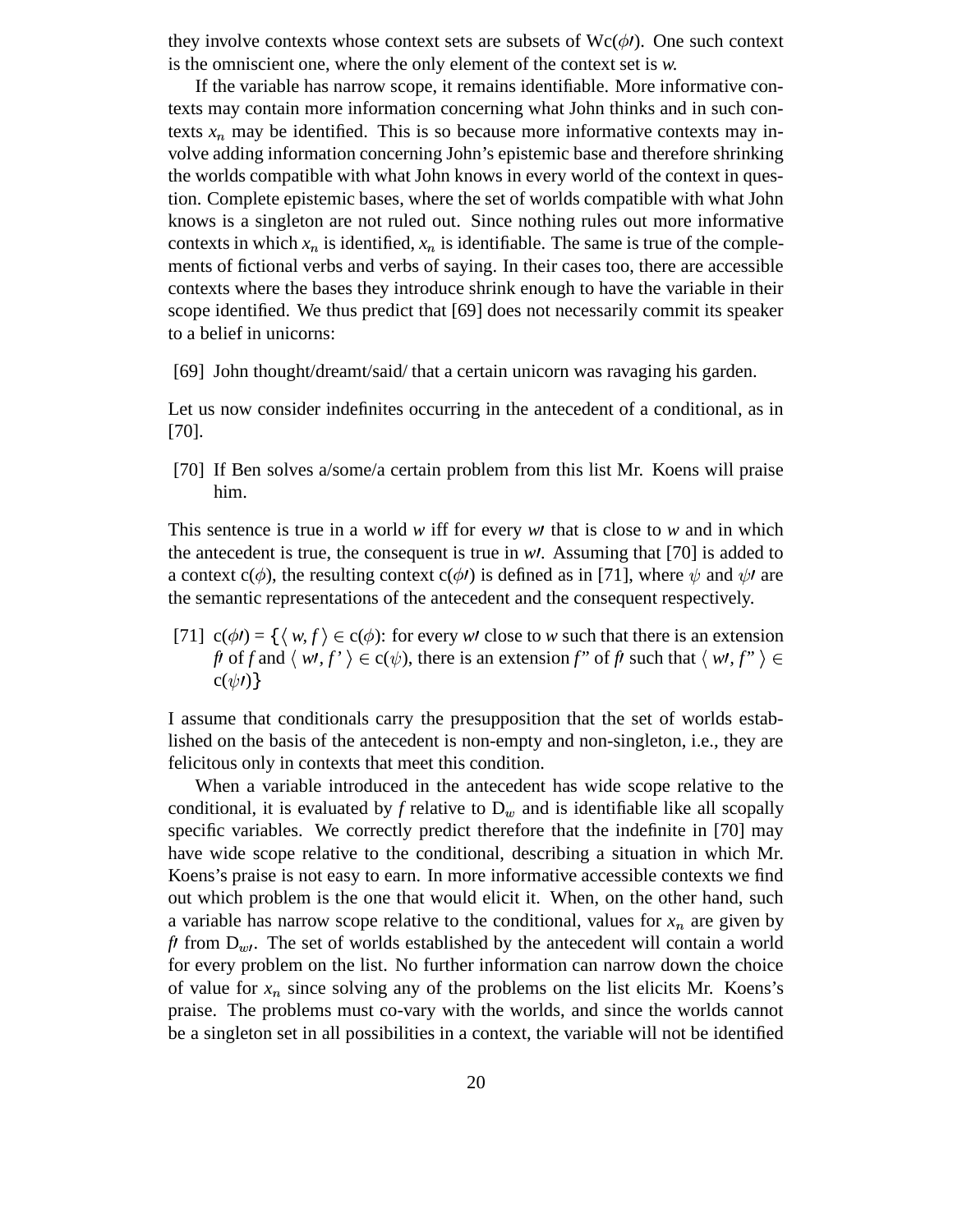they involve contexts whose context sets are subsets of  $\text{We}(\phi)$ . One such context is the omniscient one, where the only element of the context set is *w.*

If the variable has narrow scope, it remains identifiable. More informative contexts may contain more information concerning what John thinks and in such contexts  $x_n$  may be identified. This is so because more informative contexts may involve adding information concerning John's epistemic base and therefore shrinking the worlds compatible with what John knows in every world of the context in question. Complete epistemic bases, where the set of worlds compatible with what John knows is a singleton are not ruled out. Since nothing rules out more informative contexts in which  $x_n$  is identified,  $x_n$  is identifiable. The same is true of the complements of fictional verbs and verbs of saying. In their cases too, there are accessible contexts where the bases they introduce shrink enough to have the variable in their scope identified. We thus predict that [69] does not necessarily commit its speaker to a belief in unicorns:

[69] John thought/dreamt/said/ that a certain unicorn was ravaging his garden.

Let us now consider indefinites occurring in the antecedent of a conditional, as in [70].

[70] If Ben solves a/some/a certain problem from this list Mr. Koens will praise him.

This sentence is true in a world *w* iff for every *w* that is close to *w* and in which the antecedent is true, the consequent is true in *w .* Assuming that [70] is added to a context  $c(\phi)$ , the resulting context  $c(\phi)$  is defined as in [71], where  $\psi$  and  $\psi$  are the semantic representations of the antecedent and the consequent respectively.

[71]  $c(\phi) = \{ \langle w, f \rangle \in c(\phi) \text{: for every } w \text{: close to } w \text{ such that there is an extension } \mathcal{L}$ *ft* of *f* and  $\langle wI, f \rangle \in c(\psi)$ , there is an extension *f*" of *ft* such that  $\langle wI, f \rangle \in$  $c(\psi I)$ 

I assume that conditionals carry the presupposition that the set of worlds established on the basis of the antecedent is non-empty and non-singleton, i.e., they are felicitous only in contexts that meet this condition.

When a variable introduced in the antecedent has wide scope relative to the conditional, it is evaluated by  $f$  relative to  $D_w$  and is identifiable like all scopally specific variables. We correctly predict therefore that the indefinite in [70] may have wide scope relative to the conditional, describing a situation in which Mr. Koens's praise is not easy to earn. In more informative accessible contexts we find out which problem is the one that would elicit it. When, on the other hand, such a variable has narrow scope relative to the conditional, values for  $x_n$  are given by  $f$  from  $D_{w}$ . The set of worlds established by the antecedent will contain a world for every problem on the list. No further information can narrow down the choice of value for  $x_n$  since solving any of the problems on the list elicits Mr. Koens's praise. The problems must co-vary with the worlds, and since the worlds cannot be a singleton set in all possibilities in a context, the variable will not be identified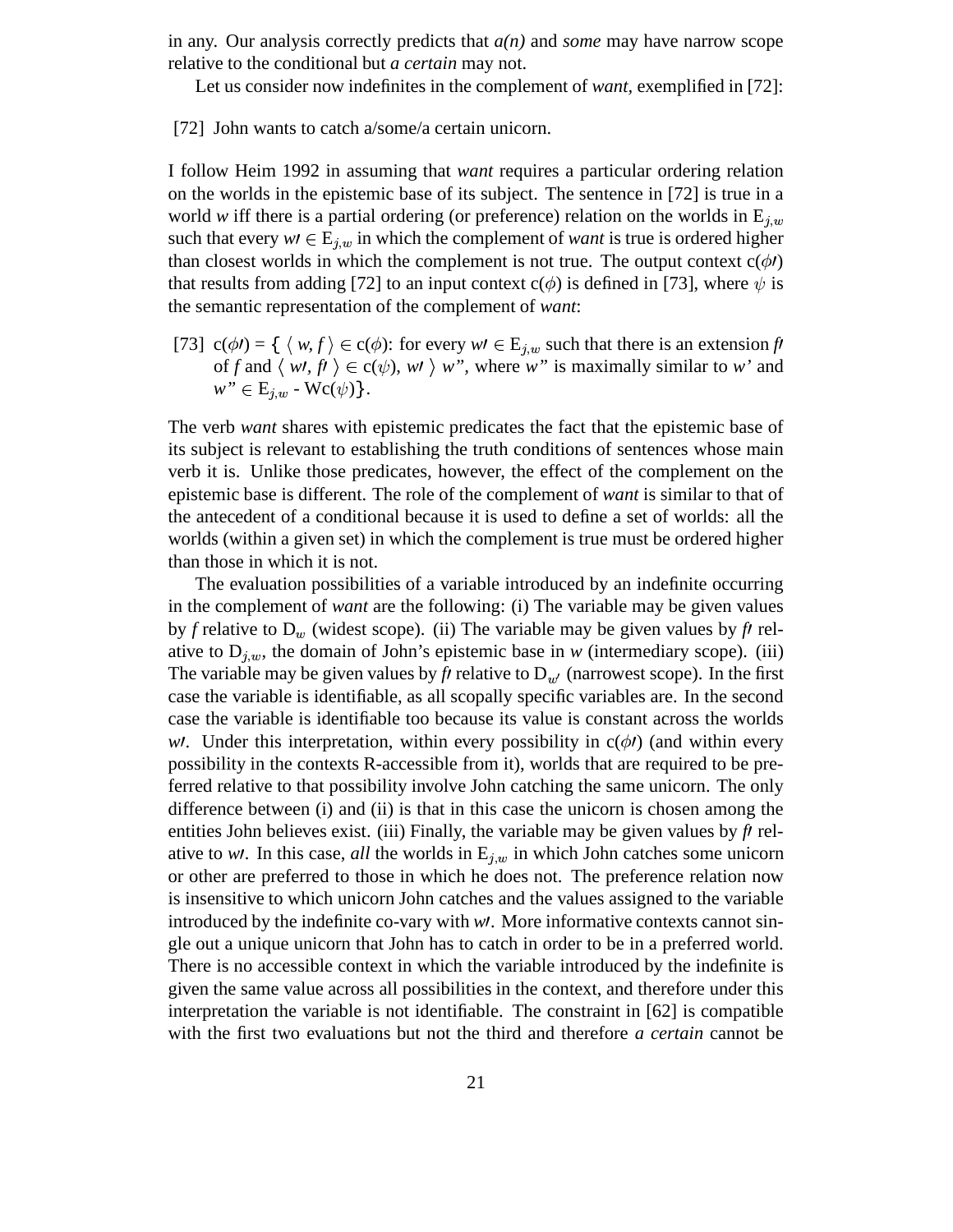in any. Our analysis correctly predicts that *a(n)* and *some* may have narrow scope relative to the conditional but *a certain* may not.

Let us consider now indefinites in the complement of *want,* exemplified in [72]:

[72] John wants to catch a/some/a certain unicorn.

I follow Heim 1992 in assuming that *want* requires a particular ordering relation on the worlds in the epistemic base of its subject. The sentence in [72] is true in a world *w* iff there is a partial ordering (or preference) relation on the worlds in  $E_{i,w}$ such that every  $w \in E_{i,w}$  in which the complement of *want* is true is ordered higher than closest worlds in which the complement is not true. The output context  $c(\phi t)$ that results from adding [72] to an input context  $c(\phi)$  is defined in [73], where  $\psi$  is the semantic representation of the complement of *want*:

[73]  $c(\phi) = \{ \langle w, f \rangle \in c(\phi) \text{: for every } w \in E_{j,w} \text{ such that there is an extension } f \in E_j$ of f and  $\langle w, f \rangle \in c(\psi)$ ,  $w \rangle w$ , where w" is maximally similar to w' and  $w'' \in E_{j,w}$  - Wc( $\psi$ ).

The verb *want* shares with epistemic predicates the fact that the epistemic base of its subject is relevant to establishing the truth conditions of sentences whose main verb it is. Unlike those predicates, however, the effect of the complement on the epistemic base is different. The role of the complement of *want* is similar to that of the antecedent of a conditional because it is used to define a set of worlds: all the worlds (within a given set) in which the complement is true must be ordered higher than those in which it is not.

The evaluation possibilities of a variable introduced by an indefinite occurring in the complement of *want* are the following: (i) The variable may be given values by *f* relative to  $D_w$  (widest scope). (ii) The variable may be given values by  $f$  relative to  $D_{j,w}$ , the domain of John's epistemic base in *w* (intermediary scope). (iii) The variable may be given values by  $f$  relative to  $D_{w'}$  (narrowest scope). In the first case the variable is identifiable, as all scopally specific variables are. In the second case the variable is identifiable too because its value is constant across the worlds  $w$ . Under this interpretation, within every possibility in  $c(\phi)$  (and within every possibility in the contexts R-accessible from it), worlds that are required to be preferred relative to that possibility involve John catching the same unicorn. The only difference between (i) and (ii) is that in this case the unicorn is chosen among the entities John believes exist. (iii) Finally, the variable may be given values by f relative to *w*. In this case, *all* the worlds in  $E_{j,w}$  in which John catches some unicorn or other are preferred to those in which he does not. The preference relation now is insensitive to which unicorn John catches and the values assigned to the variable introduced by the indefinite co-vary with *w .* More informative contexts cannot single out a unique unicorn that John has to catch in order to be in a preferred world. There is no accessible context in which the variable introduced by the indefinite is given the same value across all possibilities in the context, and therefore under this interpretation the variable is not identifiable. The constraint in [62] is compatible with the first two evaluations but not the third and therefore *a certain* cannot be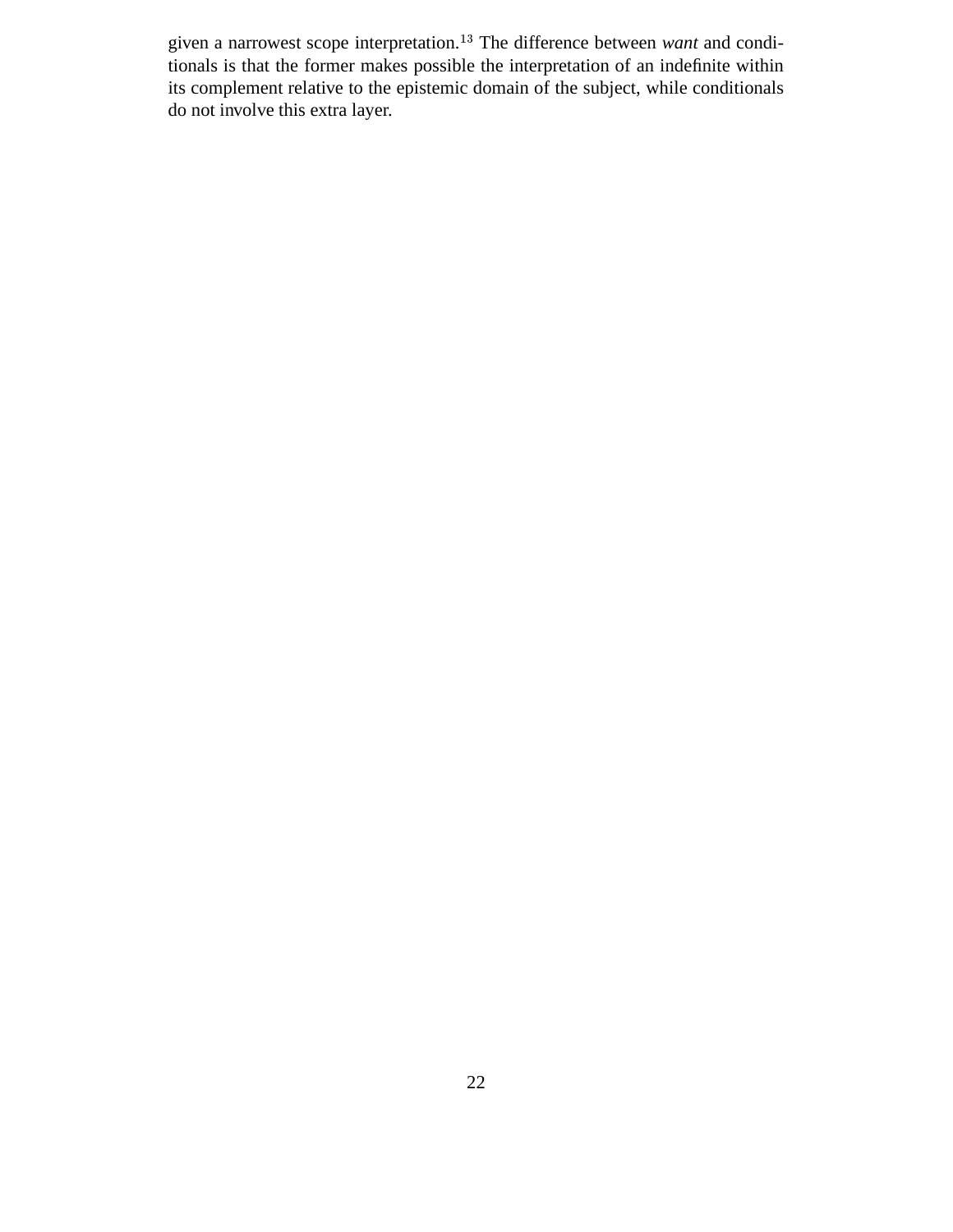given a narrowest scope interpretation.<sup>13</sup> The difference between *want* and conditionals is that the former makes possible the interpretation of an indefinite within its complement relative to the epistemic domain of the subject, while conditionals do not involve this extra layer.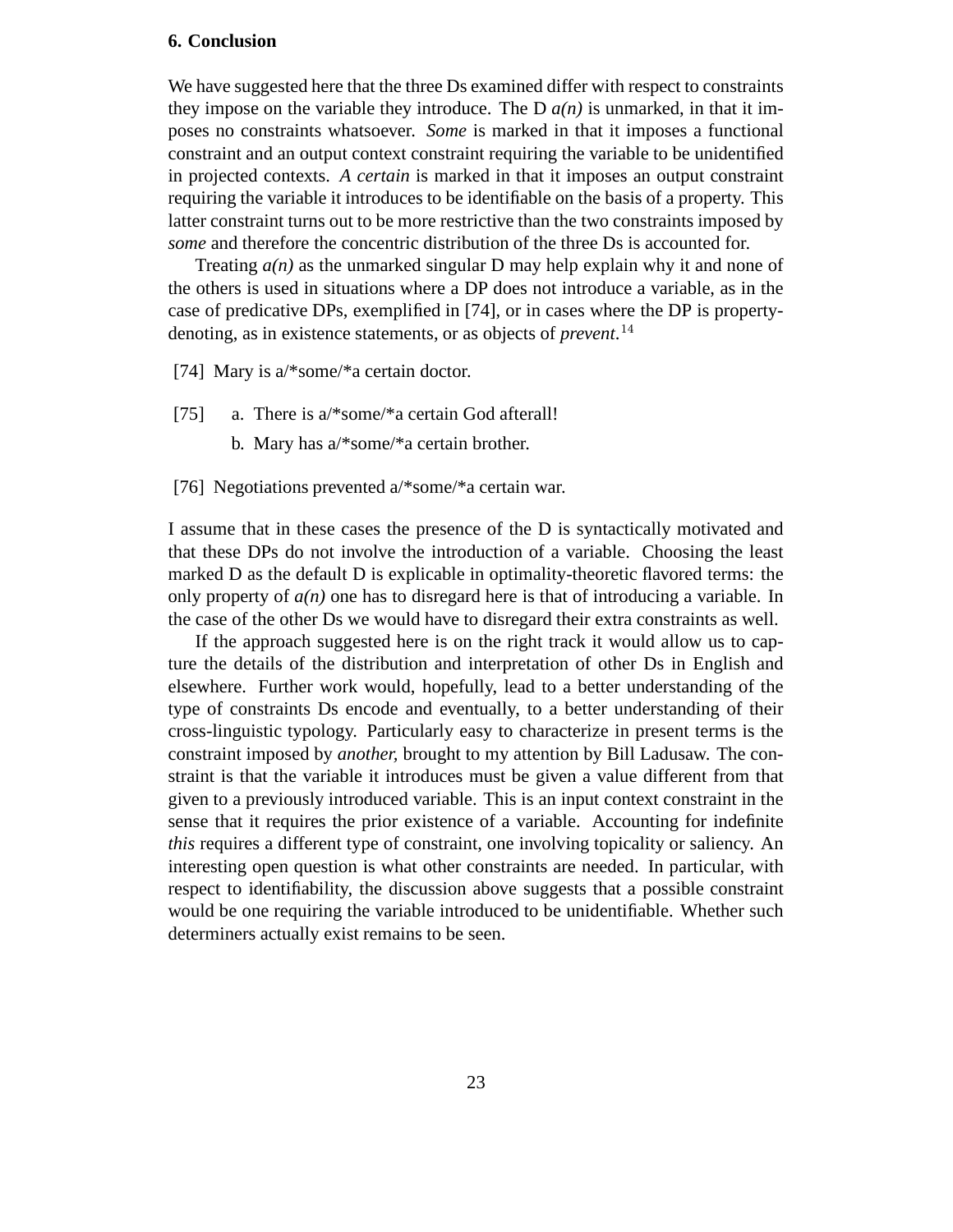### **6. Conclusion**

We have suggested here that the three Ds examined differ with respect to constraints they impose on the variable they introduce. The D  $a(n)$  is unmarked, in that it imposes no constraints whatsoever. *Some* is marked in that it imposes a functional constraint and an output context constraint requiring the variable to be unidentified in projected contexts. *A certain* is marked in that it imposes an output constraint requiring the variable it introduces to be identifiable on the basis of a property. This latter constraint turns out to be more restrictive than the two constraints imposed by *some* and therefore the concentric distribution of the three Ds is accounted for.

Treating *a(n)* as the unmarked singular D may help explain why it and none of the others is used in situations where a DP does not introduce a variable, as in the case of predicative DPs, exemplified in [74], or in cases where the DP is propertydenoting, as in existence statements, or as objects of *prevent*.<sup>14</sup>

- [74] Mary is  $a$ <sup>\*</sup>some<sup>\*</sup>a certain doctor.
- [75] a. There is  $a$ <sup>\*</sup>some<sup>\*</sup>a certain God afterall!
	- b. Mary has a/\*some/\*a certain brother.
- [76] Negotiations prevented a/\*some/\*a certain war.

I assume that in these cases the presence of the D is syntactically motivated and that these DPs do not involve the introduction of a variable. Choosing the least marked D as the default D is explicable in optimality-theoretic flavored terms: the only property of *a(n)* one has to disregard here is that of introducing a variable. In the case of the other Ds we would have to disregard their extra constraints as well.

If the approach suggested here is on the right track it would allow us to capture the details of the distribution and interpretation of other Ds in English and elsewhere. Further work would, hopefully, lead to a better understanding of the type of constraints Ds encode and eventually, to a better understanding of their cross-linguistic typology. Particularly easy to characterize in present terms is the constraint imposed by *another,* brought to my attention by Bill Ladusaw. The constraint is that the variable it introduces must be given a value different from that given to a previously introduced variable. This is an input context constraint in the sense that it requires the prior existence of a variable. Accounting for indefinite *this* requires a different type of constraint, one involving topicality or saliency. An interesting open question is what other constraints are needed. In particular, with respect to identifiability, the discussion above suggests that a possible constraint would be one requiring the variable introduced to be unidentifiable. Whether such determiners actually exist remains to be seen.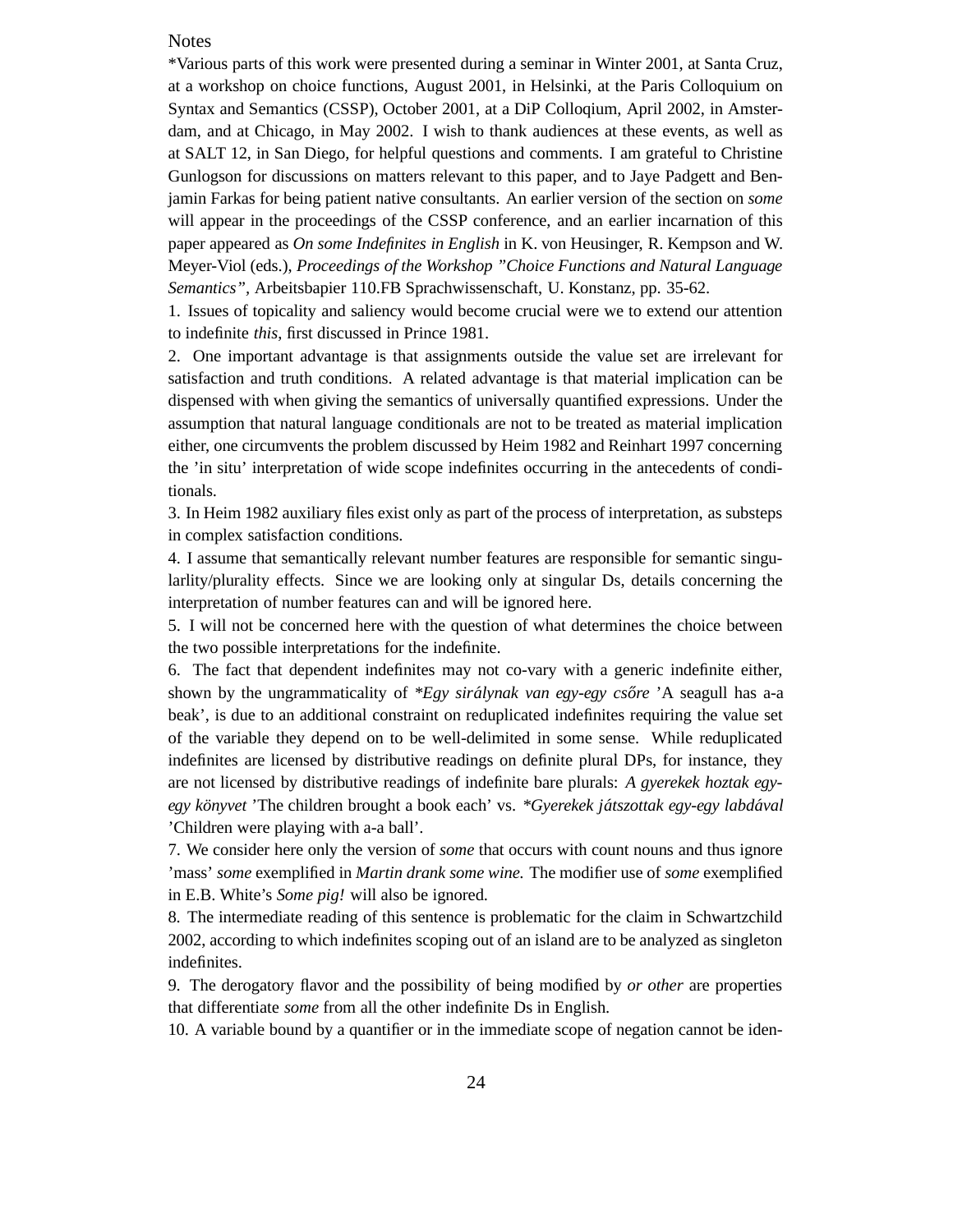### **Notes**

\*Various parts of this work were presented during a seminar in Winter 2001, at Santa Cruz, at a workshop on choice functions, August 2001, in Helsinki, at the Paris Colloquium on Syntax and Semantics (CSSP), October 2001, at a DiP Colloqium, April 2002, in Amsterdam, and at Chicago, in May 2002. I wish to thank audiences at these events, as well as at SALT 12, in San Diego, for helpful questions and comments. I am grateful to Christine Gunlogson for discussions on matters relevant to this paper, and to Jaye Padgett and Benjamin Farkas for being patient native consultants. An earlier version of the section on *some* will appear in the proceedings of the CSSP conference, and an earlier incarnation of this paper appeared as *On some Indefinites in English* in K. von Heusinger, R. Kempson and W. Meyer-Viol (eds.), *Proceedings of the Workshop "Choice Functions and Natural Language Semantics",* Arbeitsbapier 110.FB Sprachwissenschaft, U. Konstanz, pp. 35-62.

1. Issues of topicality and saliency would become crucial were we to extend our attention to indefinite *this*, first discussed in Prince 1981.

2. One important advantage is that assignments outside the value set are irrelevant for satisfaction and truth conditions. A related advantage is that material implication can be dispensed with when giving the semantics of universally quantified expressions. Under the assumption that natural language conditionals are not to be treated as material implication either, one circumvents the problem discussed by Heim 1982 and Reinhart 1997 concerning the 'in situ' interpretation of wide scope indefinites occurring in the antecedents of conditionals.

3. In Heim 1982 auxiliary files exist only as part of the process of interpretation, as substeps in complex satisfaction conditions.

4. I assume that semantically relevant number features are responsible for semantic singularlity/plurality effects. Since we are looking only at singular Ds, details concerning the interpretation of number features can and will be ignored here.

5. I will not be concerned here with the question of what determines the choice between the two possible interpretations for the indefinite.

6. The fact that dependent indefinites may not co-vary with a generic indefinite either, shown by the ungrammaticality of *\*Egy sirálynak van egy-egy csőre* 'A seagull has a-a beak', is due to an additional constraint on reduplicated indefinites requiring the value set of the variable they depend on to be well-delimited in some sense. While reduplicated indefinites are licensed by distributive readings on definite plural DPs, for instance, they are not licensed by distributive readings of indefinite bare plurals: *A gyerekek hoztak egyegy könyvet* 'The children brought a book each' vs. \*Gyerekek játszottak egy-egy labdával 'Children were playing with a-a ball'.

7. We consider here only the version of *some* that occurs with count nouns and thus ignore 'mass' *some* exemplified in *Martin drank some wine.* The modifier use of *some* exemplified in E.B. White's *Some pig!* will also be ignored.

8. The intermediate reading of this sentence is problematic for the claim in Schwartzchild 2002, according to which indefinites scoping out of an island are to be analyzed as singleton indefinites.

9. The derogatory flavor and the possibility of being modified by *or other* are properties that differentiate *some* from all the other indefinite Ds in English.

10. A variable bound by a quantifier or in the immediate scope of negation cannot be iden-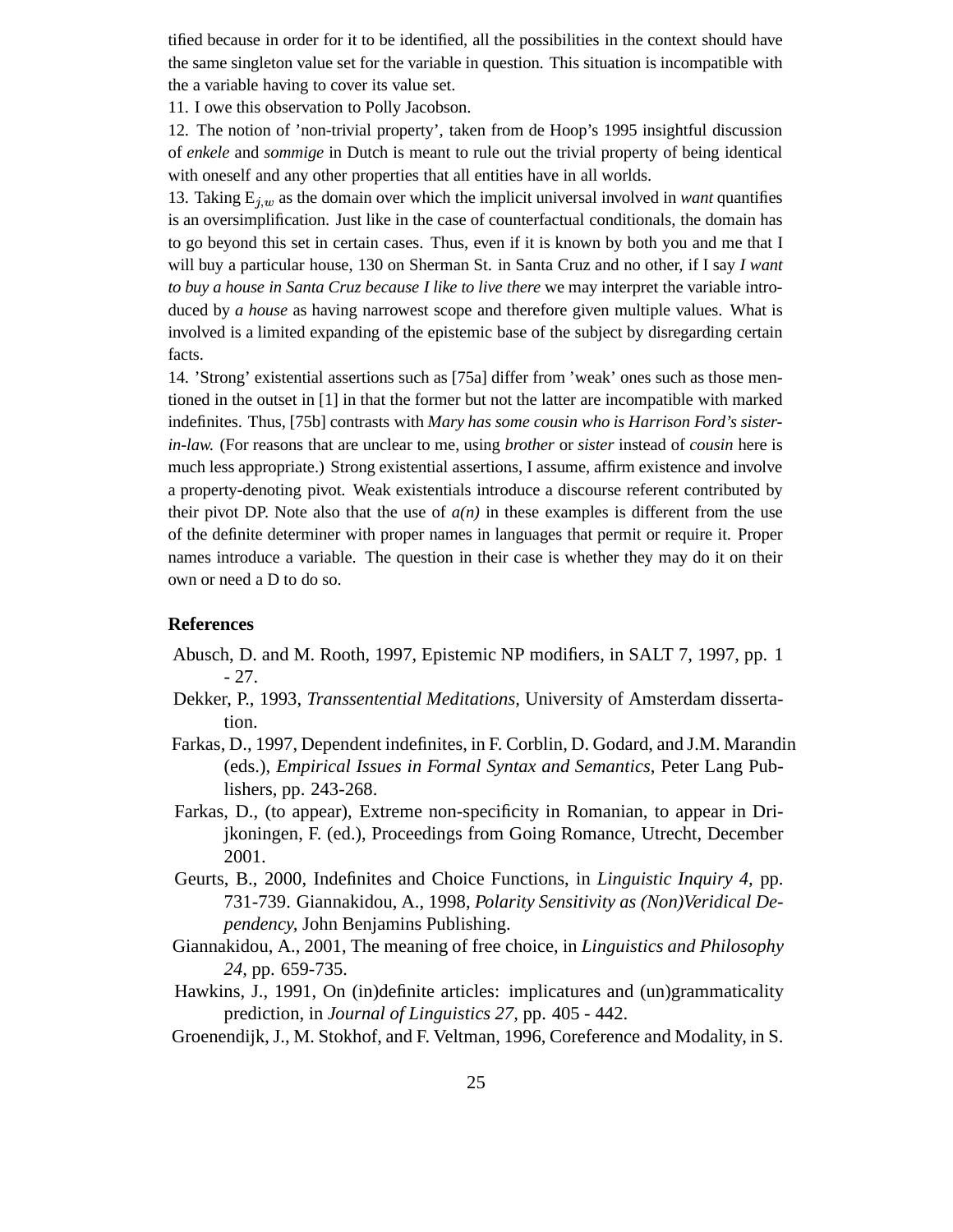tified because in order for it to be identified, all the possibilities in the context should have the same singleton value set for the variable in question. This situation is incompatible with the a variable having to cover its value set.

11. I owe this observation to Polly Jacobson.

12. The notion of 'non-trivial property', taken from de Hoop's 1995 insightful discussion of *enkele* and *sommige* in Dutch is meant to rule out the trivial property of being identical with oneself and any other properties that all entities have in all worlds.

13. Taking  $E_{j,w}$  as the domain over which the implicit universal involved in *want* quantifies is an oversimplification. Just like in the case of counterfactual conditionals, the domain has to go beyond this set in certain cases. Thus, even if it is known by both you and me that I will buy a particular house, 130 on Sherman St. in Santa Cruz and no other, if I say *I want to buy a house in Santa Cruz because I like to live there* we may interpret the variable introduced by *a house* as having narrowest scope and therefore given multiple values. What is involved is a limited expanding of the epistemic base of the subject by disregarding certain facts.

14. 'Strong' existential assertions such as [75a] differ from 'weak' ones such as those mentioned in the outset in [1] in that the former but not the latter are incompatible with marked indefinites. Thus, [75b] contrasts with *Mary has some cousin who is Harrison Ford's sisterin-law.* (For reasons that are unclear to me, using *brother* or *sister* instead of *cousin* here is much less appropriate.) Strong existential assertions, I assume, affirm existence and involve a property-denoting pivot. Weak existentials introduce a discourse referent contributed by their pivot DP. Note also that the use of  $a(n)$  in these examples is different from the use of the definite determiner with proper names in languages that permit or require it. Proper names introduce a variable. The question in their case is whether they may do it on their own or need a D to do so.

### **References**

- Abusch, D. and M. Rooth, 1997, Epistemic NP modifiers, in SALT 7, 1997, pp. 1 - 27.
- Dekker, P., 1993, *Transsentential Meditations,* University of Amsterdam dissertation.
- Farkas, D., 1997, Dependent indefinites, in F. Corblin, D. Godard, and J.M. Marandin (eds.), *Empirical Issues in Formal Syntax and Semantics*, Peter Lang Publishers, pp. 243-268.
- Farkas, D., (to appear), Extreme non-specificity in Romanian, to appear in Drijkoningen, F. (ed.), Proceedings from Going Romance, Utrecht, December 2001.
- Geurts, B., 2000, Indefinites and Choice Functions, in *Linguistic Inquiry 4,* pp. 731-739. Giannakidou, A., 1998, *Polarity Sensitivity as (Non)Veridical Dependency,* John Benjamins Publishing.
- Giannakidou, A., 2001, The meaning of free choice, in *Linguistics and Philosophy 24,* pp. 659-735.
- Hawkins, J., 1991, On (in)definite articles: implicatures and (un)grammaticality prediction, in *Journal of Linguistics 27,* pp. 405 - 442.
- Groenendijk, J., M. Stokhof, and F. Veltman, 1996, Coreference and Modality, in S.